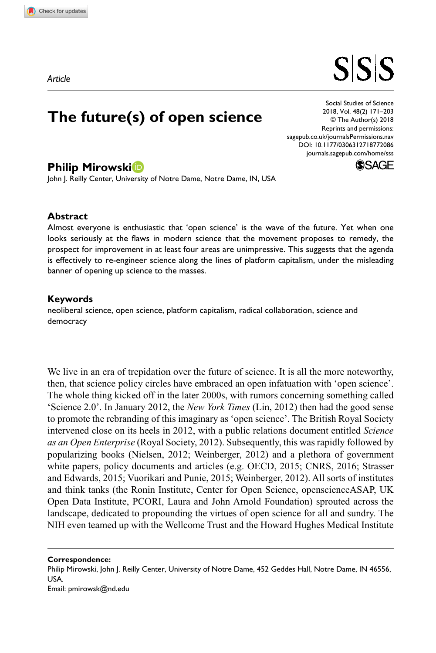**7720[86](http://crossmark.crossref.org/dialog/?doi=10.1177%2F0306312718772086&domain=pdf&date_stamp=2018-05-04)**SSS0010.1177/0306312718772086Social Studies of Science**Mirowski**

*Article*

 $S|S|S$ 

# **The future(s) of open science**

DOI: 10.1177/0306312718772086 Social Studies of Science 2018, Vol. 48(2) 171–203 © The Author(s) 2018 Reprints and permissions: [sagepub.co.uk/journalsPermissions.nav](https://uk.sagepub.com/en-gb/journals-permissions) [journals.sagepub.com/home/sss](https://journals.sagepub.com/home/sss)



# **Philip Mirowski**

John J. Reilly Center, University of Notre Dame, Notre Dame, IN, USA

#### **Abstract**

Almost everyone is enthusiastic that 'open science' is the wave of the future. Yet when one looks seriously at the flaws in modern science that the movement proposes to remedy, the prospect for improvement in at least four areas are unimpressive. This suggests that the agenda is effectively to re-engineer science along the lines of platform capitalism, under the misleading banner of opening up science to the masses.

#### **Keywords**

neoliberal science, open science, platform capitalism, radical collaboration, science and democracy

We live in an era of trepidation over the future of science. It is all the more noteworthy, then, that science policy circles have embraced an open infatuation with 'open science'. The whole thing kicked off in the later 2000s, with rumors concerning something called 'Science 2.0'. In January 2012, the *New York Times* (Lin, 2012) then had the good sense to promote the rebranding of this imaginary as 'open science'. The British Royal Society intervened close on its heels in 2012, with a public relations document entitled *Science as an Open Enterprise* (Royal Society, 2012). Subsequently, this was rapidly followed by popularizing books (Nielsen, 2012; Weinberger, 2012) and a plethora of government white papers, policy documents and articles (e.g. OECD, 2015; CNRS, 2016; Strasser and Edwards, 2015; Vuorikari and Punie, 2015; Weinberger, 2012). All sorts of institutes and think tanks (the Ronin Institute, Center for Open Science, openscienceASAP, UK Open Data Institute, PCORI, Laura and John Arnold Foundation) sprouted across the landscape, dedicated to propounding the virtues of open science for all and sundry. The NIH even teamed up with the Wellcome Trust and the Howard Hughes Medical Institute

**Correspondence:**

Philip Mirowski, John J. Reilly Center, University of Notre Dame, 452 Geddes Hall, Notre Dame, IN 46556, USA.

Email: [pmirowsk@nd.edu](mailto:pmirowsk@nd.edu)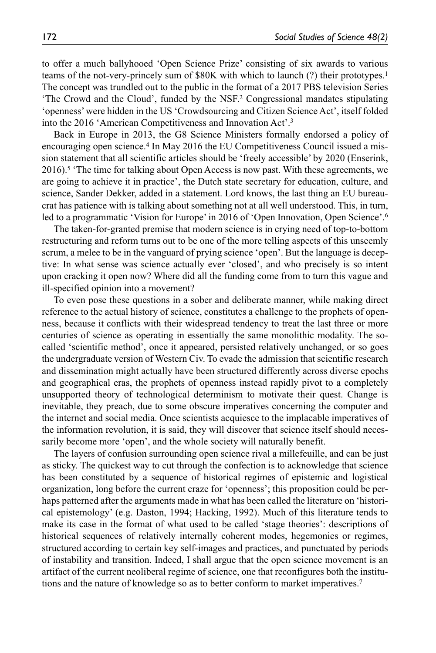to offer a much ballyhooed 'Open Science Prize' consisting of six awards to various teams of the not-very-princely sum of \$80K with which to launch (?) their prototypes.1 The concept was trundled out to the public in the format of a 2017 PBS television Series 'The Crowd and the Cloud', funded by the NSF.2 Congressional mandates stipulating 'openness' were hidden in the US 'Crowdsourcing and Citizen Science Act', itself folded into the 2016 'American Competitiveness and Innovation Act'.3

Back in Europe in 2013, the G8 Science Ministers formally endorsed a policy of encouraging open science.4 In May 2016 the EU Competitiveness Council issued a mission statement that all scientific articles should be 'freely accessible' by 2020 (Enserink, 2016).5 'The time for talking about Open Access is now past. With these agreements, we are going to achieve it in practice', the Dutch state secretary for education, culture, and science, Sander Dekker, added in a statement. Lord knows, the last thing an EU bureaucrat has patience with is talking about something not at all well understood. This, in turn, led to a programmatic 'Vision for Europe' in 2016 of 'Open Innovation, Open Science'.<sup>6</sup>

The taken-for-granted premise that modern science is in crying need of top-to-bottom restructuring and reform turns out to be one of the more telling aspects of this unseemly scrum, a melee to be in the vanguard of prying science 'open'. But the language is deceptive: In what sense was science actually ever 'closed', and who precisely is so intent upon cracking it open now? Where did all the funding come from to turn this vague and ill-specified opinion into a movement?

To even pose these questions in a sober and deliberate manner, while making direct reference to the actual history of science, constitutes a challenge to the prophets of openness, because it conflicts with their widespread tendency to treat the last three or more centuries of science as operating in essentially the same monolithic modality. The socalled 'scientific method', once it appeared, persisted relatively unchanged, or so goes the undergraduate version of Western Civ. To evade the admission that scientific research and dissemination might actually have been structured differently across diverse epochs and geographical eras, the prophets of openness instead rapidly pivot to a completely unsupported theory of technological determinism to motivate their quest. Change is inevitable, they preach, due to some obscure imperatives concerning the computer and the internet and social media. Once scientists acquiesce to the implacable imperatives of the information revolution, it is said, they will discover that science itself should necessarily become more 'open', and the whole society will naturally benefit.

The layers of confusion surrounding open science rival a millefeuille, and can be just as sticky. The quickest way to cut through the confection is to acknowledge that science has been constituted by a sequence of historical regimes of epistemic and logistical organization, long before the current craze for 'openness'; this proposition could be perhaps patterned after the arguments made in what has been called the literature on 'historical epistemology' (e.g. Daston, 1994; Hacking, 1992). Much of this literature tends to make its case in the format of what used to be called 'stage theories': descriptions of historical sequences of relatively internally coherent modes, hegemonies or regimes, structured according to certain key self-images and practices, and punctuated by periods of instability and transition. Indeed, I shall argue that the open science movement is an artifact of the current neoliberal regime of science, one that reconfigures both the institutions and the nature of knowledge so as to better conform to market imperatives.7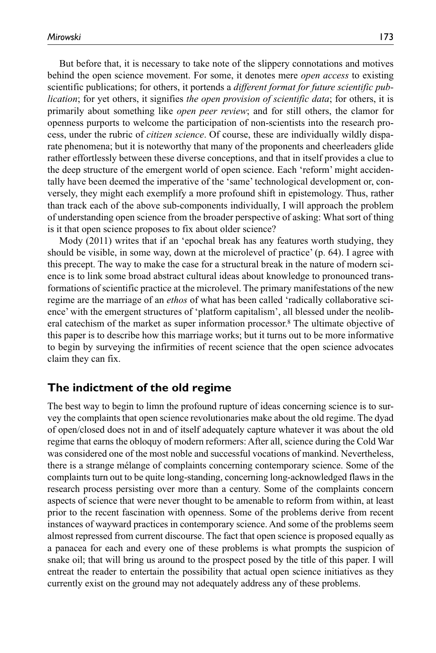But before that, it is necessary to take note of the slippery connotations and motives behind the open science movement. For some, it denotes mere *open access* to existing scientific publications; for others, it portends a *different format for future scientific publication*; for yet others, it signifies *the open provision of scientific data*; for others, it is primarily about something like *open peer review*; and for still others, the clamor for openness purports to welcome the participation of non-scientists into the research process, under the rubric of *citizen science*. Of course, these are individually wildly disparate phenomena; but it is noteworthy that many of the proponents and cheerleaders glide rather effortlessly between these diverse conceptions, and that in itself provides a clue to the deep structure of the emergent world of open science. Each 'reform' might accidentally have been deemed the imperative of the 'same' technological development or, conversely, they might each exemplify a more profound shift in epistemology. Thus, rather than track each of the above sub-components individually, I will approach the problem of understanding open science from the broader perspective of asking: What sort of thing is it that open science proposes to fix about older science?

Mody (2011) writes that if an 'epochal break has any features worth studying, they should be visible, in some way, down at the microlevel of practice' (p. 64). I agree with this precept. The way to make the case for a structural break in the nature of modern science is to link some broad abstract cultural ideas about knowledge to pronounced transformations of scientific practice at the microlevel. The primary manifestations of the new regime are the marriage of an *ethos* of what has been called 'radically collaborative science' with the emergent structures of 'platform capitalism', all blessed under the neoliberal catechism of the market as super information processor.8 The ultimate objective of this paper is to describe how this marriage works; but it turns out to be more informative to begin by surveying the infirmities of recent science that the open science advocates claim they can fix.

## **The indictment of the old regime**

The best way to begin to limn the profound rupture of ideas concerning science is to survey the complaints that open science revolutionaries make about the old regime. The dyad of open/closed does not in and of itself adequately capture whatever it was about the old regime that earns the obloquy of modern reformers: After all, science during the Cold War was considered one of the most noble and successful vocations of mankind. Nevertheless, there is a strange mélange of complaints concerning contemporary science. Some of the complaints turn out to be quite long-standing, concerning long-acknowledged flaws in the research process persisting over more than a century. Some of the complaints concern aspects of science that were never thought to be amenable to reform from within, at least prior to the recent fascination with openness. Some of the problems derive from recent instances of wayward practices in contemporary science. And some of the problems seem almost repressed from current discourse. The fact that open science is proposed equally as a panacea for each and every one of these problems is what prompts the suspicion of snake oil; that will bring us around to the prospect posed by the title of this paper. I will entreat the reader to entertain the possibility that actual open science initiatives as they currently exist on the ground may not adequately address any of these problems.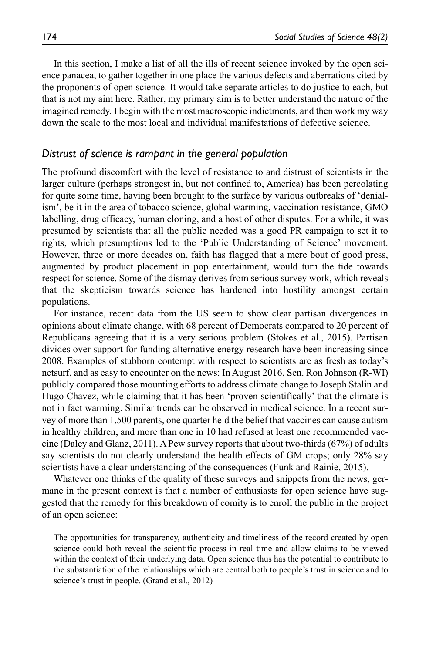In this section, I make a list of all the ills of recent science invoked by the open science panacea, to gather together in one place the various defects and aberrations cited by the proponents of open science. It would take separate articles to do justice to each, but that is not my aim here. Rather, my primary aim is to better understand the nature of the imagined remedy. I begin with the most macroscopic indictments, and then work my way down the scale to the most local and individual manifestations of defective science.

#### *Distrust of science is rampant in the general population*

The profound discomfort with the level of resistance to and distrust of scientists in the larger culture (perhaps strongest in, but not confined to, America) has been percolating for quite some time, having been brought to the surface by various outbreaks of 'denialism', be it in the area of tobacco science, global warming, vaccination resistance, GMO labelling, drug efficacy, human cloning, and a host of other disputes. For a while, it was presumed by scientists that all the public needed was a good PR campaign to set it to rights, which presumptions led to the 'Public Understanding of Science' movement. However, three or more decades on, faith has flagged that a mere bout of good press, augmented by product placement in pop entertainment, would turn the tide towards respect for science. Some of the dismay derives from serious survey work, which reveals that the skepticism towards science has hardened into hostility amongst certain populations.

For instance, recent data from the US seem to show clear partisan divergences in opinions about climate change, with 68 percent of Democrats compared to 20 percent of Republicans agreeing that it is a very serious problem (Stokes et al., 2015). Partisan divides over support for funding alternative energy research have been increasing since 2008. Examples of stubborn contempt with respect to scientists are as fresh as today's netsurf, and as easy to encounter on the news: In August 2016, Sen. Ron Johnson (R-WI) publicly compared those mounting efforts to address climate change to Joseph Stalin and Hugo Chavez, while claiming that it has been 'proven scientifically' that the climate is not in fact warming. Similar trends can be observed in medical science. In a recent survey of more than 1,500 parents, one quarter held the belief that vaccines can cause autism in healthy children, and more than one in 10 had refused at least one recommended vaccine (Daley and Glanz, 2011). A Pew survey reports that about two-thirds (67%) of adults say scientists do not clearly understand the health effects of GM crops; only 28% say scientists have a clear understanding of the consequences (Funk and Rainie, 2015).

Whatever one thinks of the quality of these surveys and snippets from the news, germane in the present context is that a number of enthusiasts for open science have suggested that the remedy for this breakdown of comity is to enroll the public in the project of an open science:

The opportunities for transparency, authenticity and timeliness of the record created by open science could both reveal the scientific process in real time and allow claims to be viewed within the context of their underlying data. Open science thus has the potential to contribute to the substantiation of the relationships which are central both to people's trust in science and to science's trust in people. (Grand et al., 2012)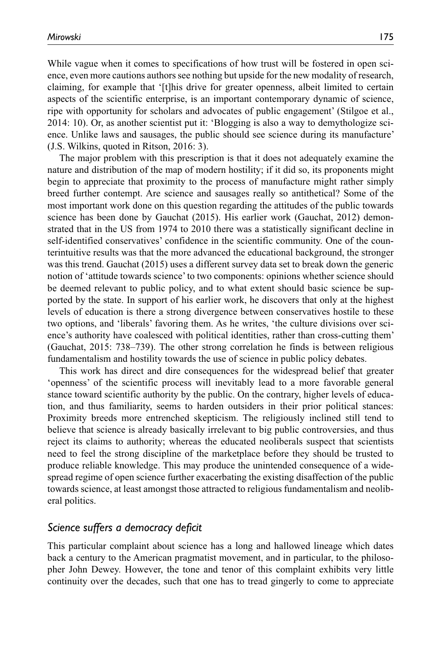While vague when it comes to specifications of how trust will be fostered in open science, even more cautions authors see nothing but upside for the new modality of research, claiming, for example that '[t]his drive for greater openness, albeit limited to certain aspects of the scientific enterprise, is an important contemporary dynamic of science, ripe with opportunity for scholars and advocates of public engagement' (Stilgoe et al., 2014: 10). Or, as another scientist put it: 'Blogging is also a way to demythologize science. Unlike laws and sausages, the public should see science during its manufacture' (J.S. Wilkins, quoted in Ritson, 2016: 3).

The major problem with this prescription is that it does not adequately examine the nature and distribution of the map of modern hostility; if it did so, its proponents might begin to appreciate that proximity to the process of manufacture might rather simply breed further contempt. Are science and sausages really so antithetical? Some of the most important work done on this question regarding the attitudes of the public towards science has been done by Gauchat (2015). His earlier work (Gauchat, 2012) demonstrated that in the US from 1974 to 2010 there was a statistically significant decline in self-identified conservatives' confidence in the scientific community. One of the counterintuitive results was that the more advanced the educational background, the stronger was this trend. Gauchat (2015) uses a different survey data set to break down the generic notion of 'attitude towards science' to two components: opinions whether science should be deemed relevant to public policy, and to what extent should basic science be supported by the state. In support of his earlier work, he discovers that only at the highest levels of education is there a strong divergence between conservatives hostile to these two options, and 'liberals' favoring them. As he writes, 'the culture divisions over science's authority have coalesced with political identities, rather than cross-cutting them' (Gauchat, 2015: 738–739). The other strong correlation he finds is between religious fundamentalism and hostility towards the use of science in public policy debates.

This work has direct and dire consequences for the widespread belief that greater 'openness' of the scientific process will inevitably lead to a more favorable general stance toward scientific authority by the public. On the contrary, higher levels of education, and thus familiarity, seems to harden outsiders in their prior political stances: Proximity breeds more entrenched skepticism. The religiously inclined still tend to believe that science is already basically irrelevant to big public controversies, and thus reject its claims to authority; whereas the educated neoliberals suspect that scientists need to feel the strong discipline of the marketplace before they should be trusted to produce reliable knowledge. This may produce the unintended consequence of a widespread regime of open science further exacerbating the existing disaffection of the public towards science, at least amongst those attracted to religious fundamentalism and neoliberal politics.

## *Science suffers a democracy deficit*

This particular complaint about science has a long and hallowed lineage which dates back a century to the American pragmatist movement, and in particular, to the philosopher John Dewey. However, the tone and tenor of this complaint exhibits very little continuity over the decades, such that one has to tread gingerly to come to appreciate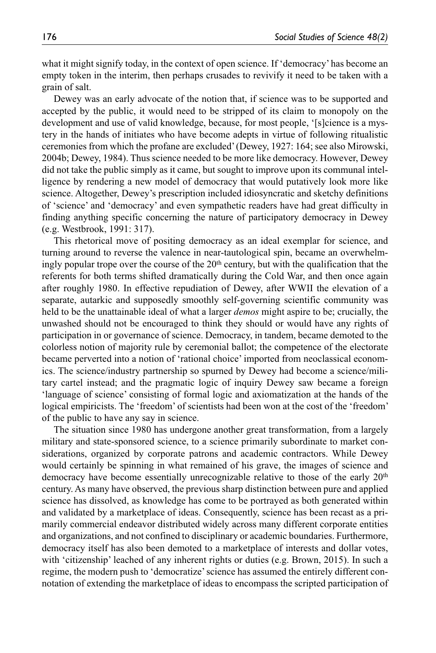what it might signify today, in the context of open science. If 'democracy' has become an empty token in the interim, then perhaps crusades to revivify it need to be taken with a grain of salt.

Dewey was an early advocate of the notion that, if science was to be supported and accepted by the public, it would need to be stripped of its claim to monopoly on the development and use of valid knowledge, because, for most people, '[s]cience is a mystery in the hands of initiates who have become adepts in virtue of following ritualistic ceremonies from which the profane are excluded' (Dewey, 1927: 164; see also Mirowski, 2004b; Dewey, 1984). Thus science needed to be more like democracy. However, Dewey did not take the public simply as it came, but sought to improve upon its communal intelligence by rendering a new model of democracy that would putatively look more like science. Altogether, Dewey's prescription included idiosyncratic and sketchy definitions of 'science' and 'democracy' and even sympathetic readers have had great difficulty in finding anything specific concerning the nature of participatory democracy in Dewey (e.g. Westbrook, 1991: 317).

This rhetorical move of positing democracy as an ideal exemplar for science, and turning around to reverse the valence in near-tautological spin, became an overwhelmingly popular trope over the course of the  $20<sup>th</sup>$  century, but with the qualification that the referents for both terms shifted dramatically during the Cold War, and then once again after roughly 1980. In effective repudiation of Dewey, after WWII the elevation of a separate, autarkic and supposedly smoothly self-governing scientific community was held to be the unattainable ideal of what a larger *demos* might aspire to be; crucially, the unwashed should not be encouraged to think they should or would have any rights of participation in or governance of science. Democracy, in tandem, became demoted to the colorless notion of majority rule by ceremonial ballot; the competence of the electorate became perverted into a notion of 'rational choice' imported from neoclassical economics. The science/industry partnership so spurned by Dewey had become a science/military cartel instead; and the pragmatic logic of inquiry Dewey saw became a foreign 'language of science' consisting of formal logic and axiomatization at the hands of the logical empiricists. The 'freedom' of scientists had been won at the cost of the 'freedom' of the public to have any say in science.

The situation since 1980 has undergone another great transformation, from a largely military and state-sponsored science, to a science primarily subordinate to market considerations, organized by corporate patrons and academic contractors. While Dewey would certainly be spinning in what remained of his grave, the images of science and democracy have become essentially unrecognizable relative to those of the early 20th century. As many have observed, the previous sharp distinction between pure and applied science has dissolved, as knowledge has come to be portrayed as both generated within and validated by a marketplace of ideas. Consequently, science has been recast as a primarily commercial endeavor distributed widely across many different corporate entities and organizations, and not confined to disciplinary or academic boundaries. Furthermore, democracy itself has also been demoted to a marketplace of interests and dollar votes, with 'citizenship' leached of any inherent rights or duties (e.g. Brown, 2015). In such a regime, the modern push to 'democratize' science has assumed the entirely different connotation of extending the marketplace of ideas to encompass the scripted participation of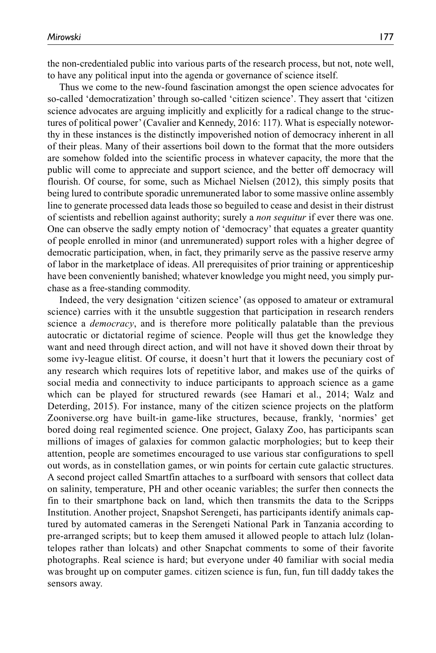the non-credentialed public into various parts of the research process, but not, note well, to have any political input into the agenda or governance of science itself.

Thus we come to the new-found fascination amongst the open science advocates for so-called 'democratization' through so-called 'citizen science'. They assert that 'citizen science advocates are arguing implicitly and explicitly for a radical change to the structures of political power' (Cavalier and Kennedy, 2016: 117). What is especially noteworthy in these instances is the distinctly impoverished notion of democracy inherent in all of their pleas. Many of their assertions boil down to the format that the more outsiders are somehow folded into the scientific process in whatever capacity, the more that the public will come to appreciate and support science, and the better off democracy will flourish. Of course, for some, such as Michael Nielsen (2012), this simply posits that being lured to contribute sporadic unremunerated labor to some massive online assembly line to generate processed data leads those so beguiled to cease and desist in their distrust of scientists and rebellion against authority; surely a *non sequitur* if ever there was one. One can observe the sadly empty notion of 'democracy' that equates a greater quantity of people enrolled in minor (and unremunerated) support roles with a higher degree of democratic participation, when, in fact, they primarily serve as the passive reserve army of labor in the marketplace of ideas. All prerequisites of prior training or apprenticeship have been conveniently banished; whatever knowledge you might need, you simply purchase as a free-standing commodity.

Indeed, the very designation 'citizen science' (as opposed to amateur or extramural science) carries with it the unsubtle suggestion that participation in research renders science a *democracy*, and is therefore more politically palatable than the previous autocratic or dictatorial regime of science. People will thus get the knowledge they want and need through direct action, and will not have it shoved down their throat by some ivy-league elitist. Of course, it doesn't hurt that it lowers the pecuniary cost of any research which requires lots of repetitive labor, and makes use of the quirks of social media and connectivity to induce participants to approach science as a game which can be played for structured rewards (see Hamari et al., 2014; Walz and Deterding, 2015). For instance, many of the citizen science projects on the platform Zooniverse.org have built-in game-like structures, because, frankly, 'normies' get bored doing real regimented science. One project, Galaxy Zoo, has participants scan millions of images of galaxies for common galactic morphologies; but to keep their attention, people are sometimes encouraged to use various star configurations to spell out words, as in constellation games, or win points for certain cute galactic structures. A second project called Smartfin attaches to a surfboard with sensors that collect data on salinity, temperature, PH and other oceanic variables; the surfer then connects the fin to their smartphone back on land, which then transmits the data to the Scripps Institution. Another project, Snapshot Serengeti, has participants identify animals captured by automated cameras in the Serengeti National Park in Tanzania according to pre-arranged scripts; but to keep them amused it allowed people to attach lulz (lolantelopes rather than lolcats) and other Snapchat comments to some of their favorite photographs. Real science is hard; but everyone under 40 familiar with social media was brought up on computer games. citizen science is fun, fun, fun till daddy takes the sensors away.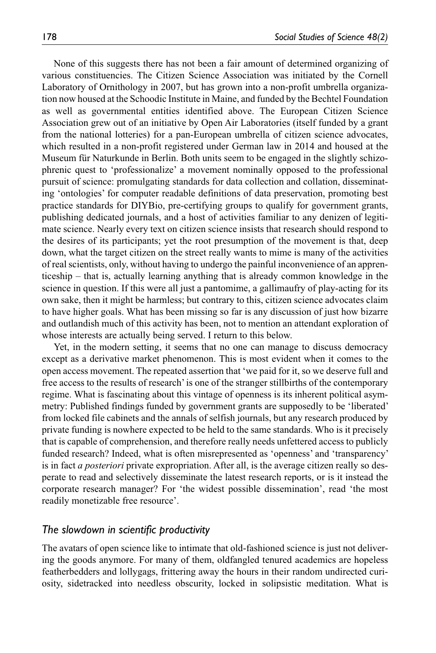None of this suggests there has not been a fair amount of determined organizing of various constituencies. The Citizen Science Association was initiated by the Cornell Laboratory of Ornithology in 2007, but has grown into a non-profit umbrella organization now housed at the Schoodic Institute in Maine, and funded by the Bechtel Foundation as well as governmental entities identified above. The European Citizen Science Association grew out of an initiative by Open Air Laboratories (itself funded by a grant from the national lotteries) for a pan-European umbrella of citizen science advocates, which resulted in a non-profit registered under German law in 2014 and housed at the Museum für Naturkunde in Berlin. Both units seem to be engaged in the slightly schizophrenic quest to 'professionalize' a movement nominally opposed to the professional pursuit of science: promulgating standards for data collection and collation, disseminating 'ontologies' for computer readable definitions of data preservation, promoting best practice standards for DIYBio, pre-certifying groups to qualify for government grants, publishing dedicated journals, and a host of activities familiar to any denizen of legitimate science. Nearly every text on citizen science insists that research should respond to the desires of its participants; yet the root presumption of the movement is that, deep down, what the target citizen on the street really wants to mime is many of the activities of real scientists, only, without having to undergo the painful inconvenience of an apprenticeship – that is, actually learning anything that is already common knowledge in the science in question. If this were all just a pantomime, a gallimaufry of play-acting for its own sake, then it might be harmless; but contrary to this, citizen science advocates claim to have higher goals. What has been missing so far is any discussion of just how bizarre and outlandish much of this activity has been, not to mention an attendant exploration of whose interests are actually being served. I return to this below.

Yet, in the modern setting, it seems that no one can manage to discuss democracy except as a derivative market phenomenon. This is most evident when it comes to the open access movement. The repeated assertion that 'we paid for it, so we deserve full and free access to the results of research' is one of the stranger stillbirths of the contemporary regime. What is fascinating about this vintage of openness is its inherent political asymmetry: Published findings funded by government grants are supposedly to be 'liberated' from locked file cabinets and the annals of selfish journals, but any research produced by private funding is nowhere expected to be held to the same standards. Who is it precisely that is capable of comprehension, and therefore really needs unfettered access to publicly funded research? Indeed, what is often misrepresented as 'openness' and 'transparency' is in fact *a posteriori* private expropriation. After all, is the average citizen really so desperate to read and selectively disseminate the latest research reports, or is it instead the corporate research manager? For 'the widest possible dissemination', read 'the most readily monetizable free resource'.

## *The slowdown in scientific productivity*

The avatars of open science like to intimate that old-fashioned science is just not delivering the goods anymore. For many of them, oldfangled tenured academics are hopeless featherbedders and lollygags, frittering away the hours in their random undirected curiosity, sidetracked into needless obscurity, locked in solipsistic meditation. What is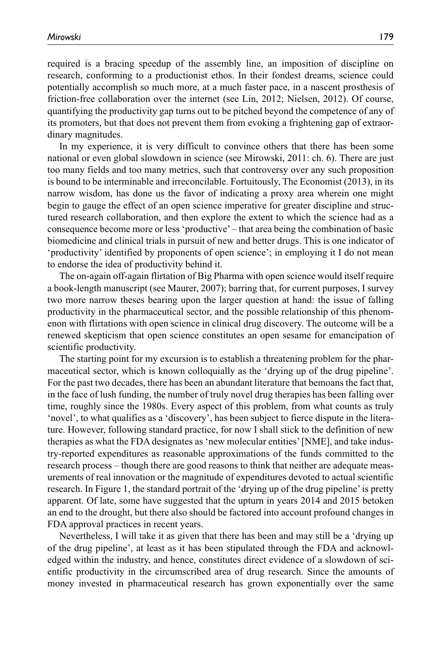required is a bracing speedup of the assembly line, an imposition of discipline on research, conforming to a productionist ethos. In their fondest dreams, science could potentially accomplish so much more, at a much faster pace, in a nascent prosthesis of friction-free collaboration over the internet (see Lin, 2012; Nielsen, 2012). Of course, quantifying the productivity gap turns out to be pitched beyond the competence of any of its promoters, but that does not prevent them from evoking a frightening gap of extraordinary magnitudes.

In my experience, it is very difficult to convince others that there has been some national or even global slowdown in science (see Mirowski, 2011: ch. 6). There are just too many fields and too many metrics, such that controversy over any such proposition is bound to be interminable and irreconcilable. Fortuitously, The Economist (2013), in its narrow wisdom, has done us the favor of indicating a proxy area wherein one might begin to gauge the effect of an open science imperative for greater discipline and structured research collaboration, and then explore the extent to which the science had as a consequence become more or less 'productive' – that area being the combination of basic biomedicine and clinical trials in pursuit of new and better drugs. This is one indicator of 'productivity' identified by proponents of open science'; in employing it I do not mean to endorse the idea of productivity behind it.

The on-again off-again flirtation of Big Pharma with open science would itself require a book-length manuscript (see Maurer, 2007); barring that, for current purposes, I survey two more narrow theses bearing upon the larger question at hand: the issue of falling productivity in the pharmaceutical sector, and the possible relationship of this phenomenon with flirtations with open science in clinical drug discovery. The outcome will be a renewed skepticism that open science constitutes an open sesame for emancipation of scientific productivity.

The starting point for my excursion is to establish a threatening problem for the pharmaceutical sector, which is known colloquially as the 'drying up of the drug pipeline'. For the past two decades, there has been an abundant literature that bemoans the fact that, in the face of lush funding, the number of truly novel drug therapies has been falling over time, roughly since the 1980s. Every aspect of this problem, from what counts as truly 'novel', to what qualifies as a 'discovery', has been subject to fierce dispute in the literature. However, following standard practice, for now I shall stick to the definition of new therapies as what the FDA designates as 'new molecular entities' [NME], and take industry-reported expenditures as reasonable approximations of the funds committed to the research process – though there are good reasons to think that neither are adequate measurements of real innovation or the magnitude of expenditures devoted to actual scientific research. In Figure 1, the standard portrait of the 'drying up of the drug pipeline' is pretty apparent. Of late, some have suggested that the upturn in years 2014 and 2015 betoken an end to the drought, but there also should be factored into account profound changes in FDA approval practices in recent years.

Nevertheless, I will take it as given that there has been and may still be a 'drying up of the drug pipeline', at least as it has been stipulated through the FDA and acknowledged within the industry, and hence, constitutes direct evidence of a slowdown of scientific productivity in the circumscribed area of drug research. Since the amounts of money invested in pharmaceutical research has grown exponentially over the same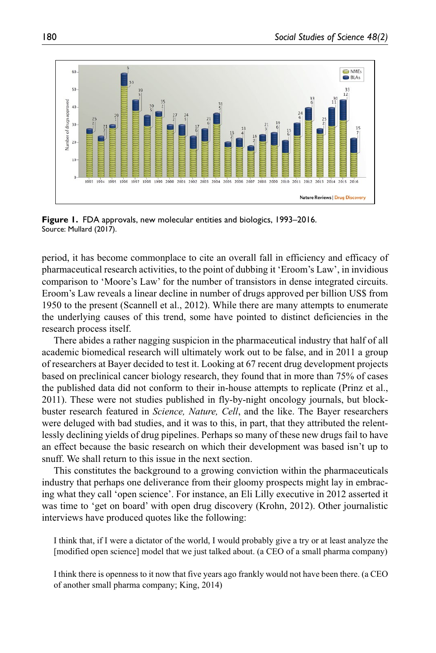

**Figure 1.** FDA approvals, new molecular entities and biologics, 1993–2016. Source: Mullard (2017).

period, it has become commonplace to cite an overall fall in efficiency and efficacy of pharmaceutical research activities, to the point of dubbing it 'Eroom's Law', in invidious comparison to 'Moore's Law' for the number of transistors in dense integrated circuits. Eroom's Law reveals a linear decline in number of drugs approved per billion US\$ from 1950 to the present (Scannell et al., 2012). While there are many attempts to enumerate the underlying causes of this trend, some have pointed to distinct deficiencies in the research process itself.

There abides a rather nagging suspicion in the pharmaceutical industry that half of all academic biomedical research will ultimately work out to be false, and in 2011 a group of researchers at Bayer decided to test it. Looking at 67 recent drug development projects based on preclinical cancer biology research, they found that in more than 75% of cases the published data did not conform to their in-house attempts to replicate (Prinz et al., 2011). These were not studies published in fly-by-night oncology journals, but blockbuster research featured in *Science, Nature, Cell*, and the like. The Bayer researchers were deluged with bad studies, and it was to this, in part, that they attributed the relentlessly declining yields of drug pipelines. Perhaps so many of these new drugs fail to have an effect because the basic research on which their development was based isn't up to snuff. We shall return to this issue in the next section.

This constitutes the background to a growing conviction within the pharmaceuticals industry that perhaps one deliverance from their gloomy prospects might lay in embracing what they call 'open science'. For instance, an Eli Lilly executive in 2012 asserted it was time to 'get on board' with open drug discovery (Krohn, 2012). Other journalistic interviews have produced quotes like the following:

I think that, if I were a dictator of the world, I would probably give a try or at least analyze the [modified open science] model that we just talked about. (a CEO of a small pharma company)

I think there is openness to it now that five years ago frankly would not have been there. (a CEO of another small pharma company; King, 2014)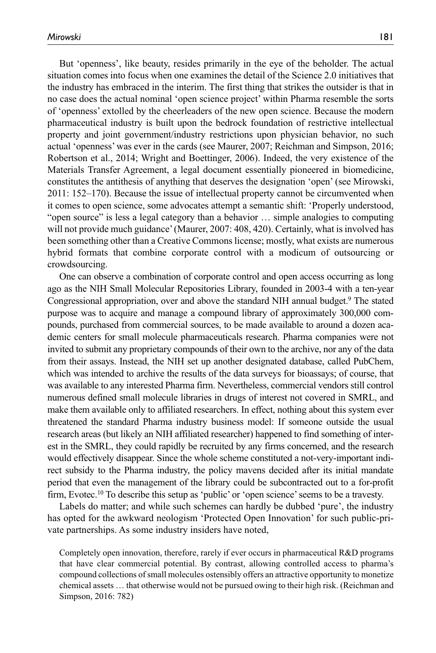But 'openness', like beauty, resides primarily in the eye of the beholder. The actual situation comes into focus when one examines the detail of the Science 2.0 initiatives that the industry has embraced in the interim. The first thing that strikes the outsider is that in no case does the actual nominal 'open science project' within Pharma resemble the sorts of 'openness' extolled by the cheerleaders of the new open science. Because the modern pharmaceutical industry is built upon the bedrock foundation of restrictive intellectual property and joint government/industry restrictions upon physician behavior, no such actual 'openness' was ever in the cards (see Maurer, 2007; Reichman and Simpson, 2016; Robertson et al., 2014; Wright and Boettinger, 2006). Indeed, the very existence of the Materials Transfer Agreement, a legal document essentially pioneered in biomedicine, constitutes the antithesis of anything that deserves the designation 'open' (see Mirowski, 2011: 152–170). Because the issue of intellectual property cannot be circumvented when it comes to open science, some advocates attempt a semantic shift: 'Properly understood, "open source" is less a legal category than a behavior … simple analogies to computing will not provide much guidance' (Maurer, 2007: 408, 420). Certainly, what is involved has been something other than a Creative Commons license; mostly, what exists are numerous hybrid formats that combine corporate control with a modicum of outsourcing or crowdsourcing.

One can observe a combination of corporate control and open access occurring as long ago as the NIH Small Molecular Repositories Library, founded in 2003-4 with a ten-year Congressional appropriation, over and above the standard NIH annual budget.9 The stated purpose was to acquire and manage a compound library of approximately 300,000 compounds, purchased from commercial sources, to be made available to around a dozen academic centers for small molecule pharmaceuticals research. Pharma companies were not invited to submit any proprietary compounds of their own to the archive, nor any of the data from their assays. Instead, the NIH set up another designated database, called PubChem, which was intended to archive the results of the data surveys for bioassays; of course, that was available to any interested Pharma firm. Nevertheless, commercial vendors still control numerous defined small molecule libraries in drugs of interest not covered in SMRL, and make them available only to affiliated researchers. In effect, nothing about this system ever threatened the standard Pharma industry business model: If someone outside the usual research areas (but likely an NIH affiliated researcher) happened to find something of interest in the SMRL, they could rapidly be recruited by any firms concerned, and the research would effectively disappear. Since the whole scheme constituted a not-very-important indirect subsidy to the Pharma industry, the policy mavens decided after its initial mandate period that even the management of the library could be subcontracted out to a for-profit firm, Evotec.10 To describe this setup as 'public' or 'open science' seems to be a travesty.

Labels do matter; and while such schemes can hardly be dubbed 'pure', the industry has opted for the awkward neologism 'Protected Open Innovation' for such public-private partnerships. As some industry insiders have noted,

Completely open innovation, therefore, rarely if ever occurs in pharmaceutical R&D programs that have clear commercial potential. By contrast, allowing controlled access to pharma's compound collections of small molecules ostensibly offers an attractive opportunity to monetize chemical assets … that otherwise would not be pursued owing to their high risk. (Reichman and Simpson, 2016: 782)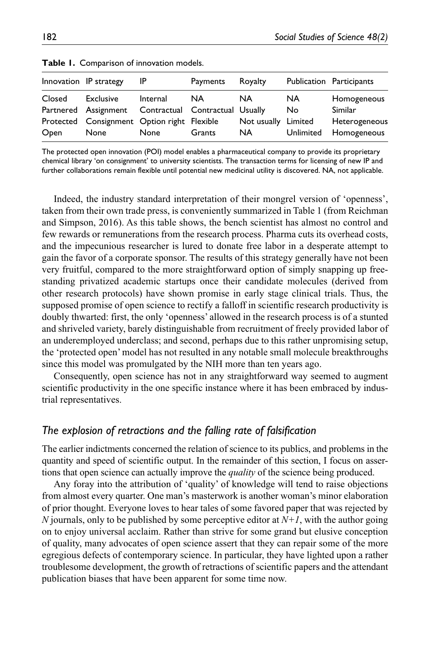| Innovation IP strategy | IP       | Payments | Rovalty                                     |                                                      | Publication Participants |
|------------------------|----------|----------|---------------------------------------------|------------------------------------------------------|--------------------------|
| Exclusive              | Internal | NA.      | <b>NA</b>                                   | <b>NA</b>                                            | Homogeneous              |
|                        |          |          |                                             | N٥                                                   | Similar                  |
|                        |          |          |                                             | Limited                                              | Heterogeneous            |
| None                   | None     | Grants   | NA .                                        | Unlimited                                            | Homogeneous              |
|                        |          |          | Protected Consignment Option right Flexible | Partnered Assignment Contractual Contractual Usually | Not usually              |

**Table 1.** Comparison of innovation models.

The protected open innovation (POI) model enables a pharmaceutical company to provide its proprietary chemical library 'on consignment' to university scientists. The transaction terms for licensing of new IP and further collaborations remain flexible until potential new medicinal utility is discovered. NA, not applicable.

Indeed, the industry standard interpretation of their mongrel version of 'openness', taken from their own trade press, is conveniently summarized in Table 1 (from Reichman and Simpson, 2016). As this table shows, the bench scientist has almost no control and few rewards or remunerations from the research process. Pharma cuts its overhead costs, and the impecunious researcher is lured to donate free labor in a desperate attempt to gain the favor of a corporate sponsor. The results of this strategy generally have not been very fruitful, compared to the more straightforward option of simply snapping up freestanding privatized academic startups once their candidate molecules (derived from other research protocols) have shown promise in early stage clinical trials. Thus, the supposed promise of open science to rectify a falloff in scientific research productivity is doubly thwarted: first, the only 'openness' allowed in the research process is of a stunted and shriveled variety, barely distinguishable from recruitment of freely provided labor of an underemployed underclass; and second, perhaps due to this rather unpromising setup, the 'protected open' model has not resulted in any notable small molecule breakthroughs since this model was promulgated by the NIH more than ten years ago.

Consequently, open science has not in any straightforward way seemed to augment scientific productivity in the one specific instance where it has been embraced by industrial representatives.

## *The explosion of retractions and the falling rate of falsification*

The earlier indictments concerned the relation of science to its publics, and problems in the quantity and speed of scientific output. In the remainder of this section, I focus on assertions that open science can actually improve the *quality* of the science being produced.

Any foray into the attribution of 'quality' of knowledge will tend to raise objections from almost every quarter. One man's masterwork is another woman's minor elaboration of prior thought. Everyone loves to hear tales of some favored paper that was rejected by *N* journals, only to be published by some perceptive editor at *N+1*, with the author going on to enjoy universal acclaim. Rather than strive for some grand but elusive conception of quality, many advocates of open science assert that they can repair some of the more egregious defects of contemporary science. In particular, they have lighted upon a rather troublesome development, the growth of retractions of scientific papers and the attendant publication biases that have been apparent for some time now.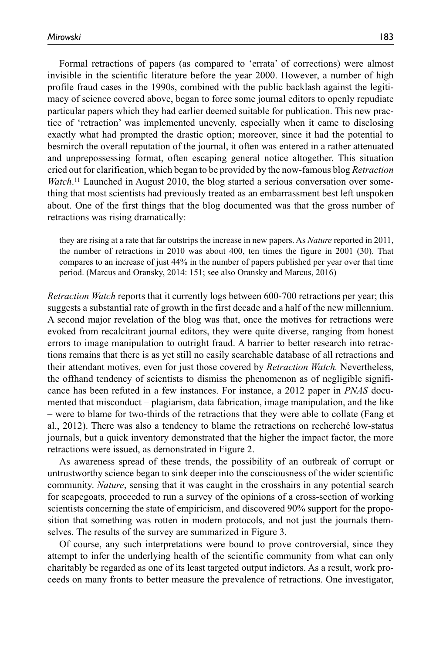Formal retractions of papers (as compared to 'errata' of corrections) were almost invisible in the scientific literature before the year 2000. However, a number of high profile fraud cases in the 1990s, combined with the public backlash against the legitimacy of science covered above, began to force some journal editors to openly repudiate particular papers which they had earlier deemed suitable for publication. This new practice of 'retraction' was implemented unevenly, especially when it came to disclosing exactly what had prompted the drastic option; moreover, since it had the potential to besmirch the overall reputation of the journal, it often was entered in a rather attenuated and unprepossessing format, often escaping general notice altogether. This situation cried out for clarification, which began to be provided by the now-famous blog *Retraction*  Watch.<sup>11</sup> Launched in August 2010, the blog started a serious conversation over something that most scientists had previously treated as an embarrassment best left unspoken about. One of the first things that the blog documented was that the gross number of retractions was rising dramatically:

they are rising at a rate that far outstrips the increase in new papers. As *Nature* reported in 2011, the number of retractions in 2010 was about 400, ten times the figure in 2001 (30). That compares to an increase of just 44% in the number of papers published per year over that time period. (Marcus and Oransky, 2014: 151; see also Oransky and Marcus, 2016)

*Retraction Watch* reports that it currently logs between 600-700 retractions per year; this suggests a substantial rate of growth in the first decade and a half of the new millennium. A second major revelation of the blog was that, once the motives for retractions were evoked from recalcitrant journal editors, they were quite diverse, ranging from honest errors to image manipulation to outright fraud. A barrier to better research into retractions remains that there is as yet still no easily searchable database of all retractions and their attendant motives, even for just those covered by *Retraction Watch.* Nevertheless, the offhand tendency of scientists to dismiss the phenomenon as of negligible significance has been refuted in a few instances. For instance, a 2012 paper in *PNAS* documented that misconduct – plagiarism, data fabrication, image manipulation, and the like – were to blame for two-thirds of the retractions that they were able to collate (Fang et al., 2012). There was also a tendency to blame the retractions on recherché low-status journals, but a quick inventory demonstrated that the higher the impact factor, the more retractions were issued, as demonstrated in Figure 2.

As awareness spread of these trends, the possibility of an outbreak of corrupt or untrustworthy science began to sink deeper into the consciousness of the wider scientific community. *Nature*, sensing that it was caught in the crosshairs in any potential search for scapegoats, proceeded to run a survey of the opinions of a cross-section of working scientists concerning the state of empiricism, and discovered 90% support for the proposition that something was rotten in modern protocols, and not just the journals themselves. The results of the survey are summarized in Figure 3.

Of course, any such interpretations were bound to prove controversial, since they attempt to infer the underlying health of the scientific community from what can only charitably be regarded as one of its least targeted output indictors. As a result, work proceeds on many fronts to better measure the prevalence of retractions. One investigator,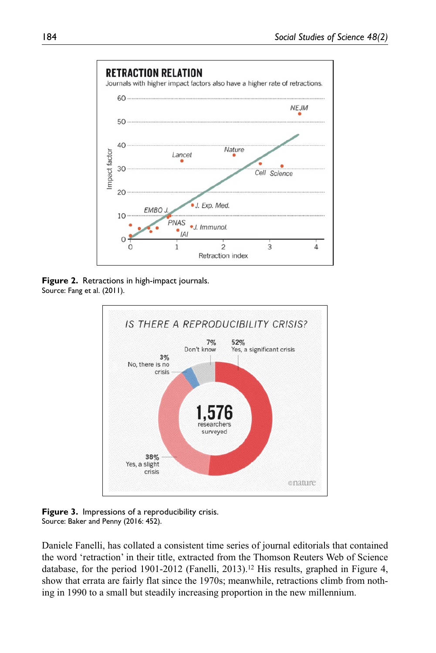

**Figure 2.** Retractions in high-impact journals. Source: Fang et al. (2011).



**Figure 3.** Impressions of a reproducibility crisis. Source: Baker and Penny (2016: 452).

Daniele Fanelli, has collated a consistent time series of journal editorials that contained the word 'retraction' in their title, extracted from the Thomson Reuters Web of Science database, for the period 1901-2012 (Fanelli, 2013).<sup>12</sup> His results, graphed in Figure 4, show that errata are fairly flat since the 1970s; meanwhile, retractions climb from nothing in 1990 to a small but steadily increasing proportion in the new millennium.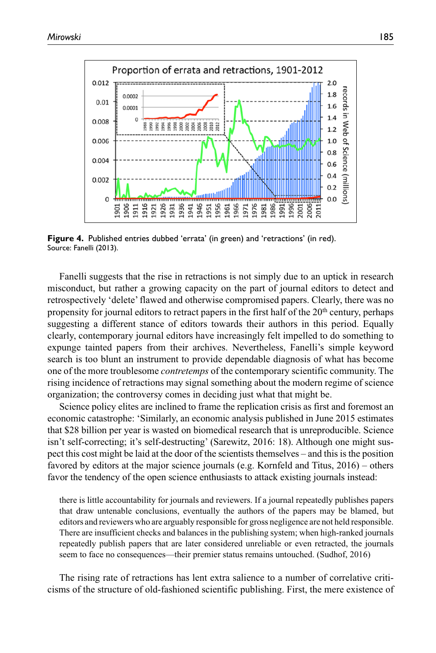

**Figure 4.** Published entries dubbed 'errata' (in green) and 'retractions' (in red). Source: Fanelli (2013).

Fanelli suggests that the rise in retractions is not simply due to an uptick in research misconduct, but rather a growing capacity on the part of journal editors to detect and retrospectively 'delete' flawed and otherwise compromised papers. Clearly, there was no propensity for journal editors to retract papers in the first half of the  $20<sup>th</sup>$  century, perhaps suggesting a different stance of editors towards their authors in this period. Equally clearly, contemporary journal editors have increasingly felt impelled to do something to expunge tainted papers from their archives. Nevertheless, Fanelli's simple keyword search is too blunt an instrument to provide dependable diagnosis of what has become one of the more troublesome *contretemps* of the contemporary scientific community. The rising incidence of retractions may signal something about the modern regime of science organization; the controversy comes in deciding just what that might be.

Science policy elites are inclined to frame the replication crisis as first and foremost an economic catastrophe: 'Similarly, an economic analysis published in June 2015 estimates that \$28 billion per year is wasted on biomedical research that is unreproducible. Science isn't self-correcting; it's self-destructing' (Sarewitz, 2016: 18). Although one might suspect this cost might be laid at the door of the scientists themselves – and this is the position favored by editors at the major science journals (e.g. Kornfeld and Titus, 2016) – others favor the tendency of the open science enthusiasts to attack existing journals instead:

there is little accountability for journals and reviewers. If a journal repeatedly publishes papers that draw untenable conclusions, eventually the authors of the papers may be blamed, but editors and reviewers who are arguably responsible for gross negligence are not held responsible. There are insufficient checks and balances in the publishing system; when high-ranked journals repeatedly publish papers that are later considered unreliable or even retracted, the journals seem to face no consequences—their premier status remains untouched. (Sudhof, 2016)

The rising rate of retractions has lent extra salience to a number of correlative criticisms of the structure of old-fashioned scientific publishing. First, the mere existence of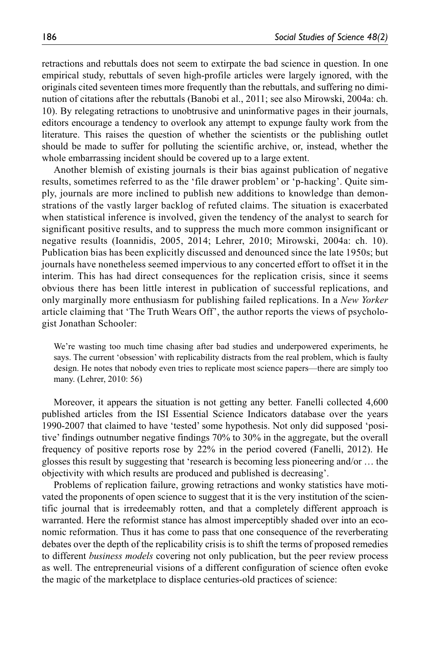retractions and rebuttals does not seem to extirpate the bad science in question. In one empirical study, rebuttals of seven high-profile articles were largely ignored, with the originals cited seventeen times more frequently than the rebuttals, and suffering no diminution of citations after the rebuttals (Banobi et al., 2011; see also Mirowski, 2004a: ch. 10). By relegating retractions to unobtrusive and uninformative pages in their journals, editors encourage a tendency to overlook any attempt to expunge faulty work from the literature. This raises the question of whether the scientists or the publishing outlet should be made to suffer for polluting the scientific archive, or, instead, whether the whole embarrassing incident should be covered up to a large extent.

Another blemish of existing journals is their bias against publication of negative results, sometimes referred to as the 'file drawer problem' or 'p-hacking'. Quite simply, journals are more inclined to publish new additions to knowledge than demonstrations of the vastly larger backlog of refuted claims. The situation is exacerbated when statistical inference is involved, given the tendency of the analyst to search for significant positive results, and to suppress the much more common insignificant or negative results (Ioannidis, 2005, 2014; Lehrer, 2010; Mirowski, 2004a: ch. 10). Publication bias has been explicitly discussed and denounced since the late 1950s; but journals have nonetheless seemed impervious to any concerted effort to offset it in the interim. This has had direct consequences for the replication crisis, since it seems obvious there has been little interest in publication of successful replications, and only marginally more enthusiasm for publishing failed replications. In a *New Yorker* article claiming that 'The Truth Wears Off', the author reports the views of psychologist Jonathan Schooler:

We're wasting too much time chasing after bad studies and underpowered experiments, he says. The current 'obsession' with replicability distracts from the real problem, which is faulty design. He notes that nobody even tries to replicate most science papers—there are simply too many. (Lehrer, 2010: 56)

Moreover, it appears the situation is not getting any better. Fanelli collected 4,600 published articles from the ISI Essential Science Indicators database over the years 1990-2007 that claimed to have 'tested' some hypothesis. Not only did supposed 'positive' findings outnumber negative findings 70% to 30% in the aggregate, but the overall frequency of positive reports rose by 22% in the period covered (Fanelli, 2012). He glosses this result by suggesting that 'research is becoming less pioneering and/or … the objectivity with which results are produced and published is decreasing'.

Problems of replication failure, growing retractions and wonky statistics have motivated the proponents of open science to suggest that it is the very institution of the scientific journal that is irredeemably rotten, and that a completely different approach is warranted. Here the reformist stance has almost imperceptibly shaded over into an economic reformation. Thus it has come to pass that one consequence of the reverberating debates over the depth of the replicability crisis is to shift the terms of proposed remedies to different *business models* covering not only publication, but the peer review process as well. The entrepreneurial visions of a different configuration of science often evoke the magic of the marketplace to displace centuries-old practices of science: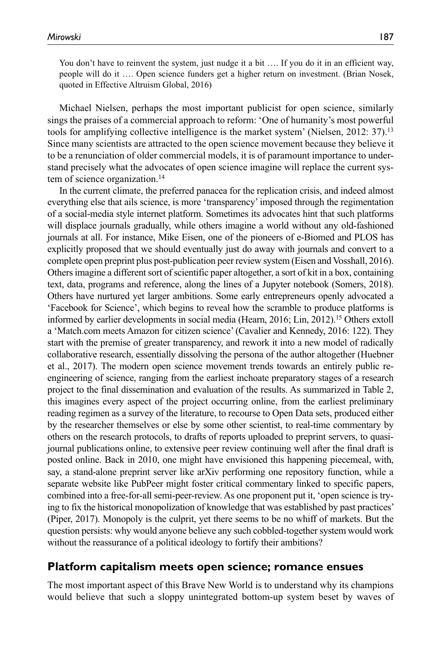You don't have to reinvent the system, just nudge it a bit .... If you do it in an efficient way, people will do it …. Open science funders get a higher return on investment. (Brian Nosek, quoted in Effective Altruism Global, 2016)

Michael Nielsen, perhaps the most important publicist for open science, similarly sings the praises of a commercial approach to reform: 'One of humanity's most powerful tools for amplifying collective intelligence is the market system' (Nielsen, 2012: 37).13 Since many scientists are attracted to the open science movement because they believe it to be a renunciation of older commercial models, it is of paramount importance to understand precisely what the advocates of open science imagine will replace the current system of science organization.<sup>14</sup>

In the current climate, the preferred panacea for the replication crisis, and indeed almost everything else that ails science, is more 'transparency' imposed through the regimentation of a social-media style internet platform. Sometimes its advocates hint that such platforms will displace journals gradually, while others imagine a world without any old-fashioned journals at all. For instance, Mike Eisen, one of the pioneers of e-Biomed and PLOS has explicitly proposed that we should eventually just do away with journals and convert to a complete open preprint plus post-publication peer review system (Eisen and Vosshall, 2016). Others imagine a different sort of scientific paper altogether, a sort of kit in a box, containing text, data, programs and reference, along the lines of a Jupyter notebook (Somers, 2018). Others have nurtured yet larger ambitions. Some early entrepreneurs openly advocated a 'Facebook for Science', which begins to reveal how the scramble to produce platforms is informed by earlier developments in social media (Hearn, 2016; Lin, 2012).15 Others extoll a 'Match.com meets Amazon for citizen science' (Cavalier and Kennedy, 2016: 122). They start with the premise of greater transparency, and rework it into a new model of radically collaborative research, essentially dissolving the persona of the author altogether (Huebner et al., 2017). The modern open science movement trends towards an entirely public reengineering of science, ranging from the earliest inchoate preparatory stages of a research project to the final dissemination and evaluation of the results. As summarized in Table 2, this imagines every aspect of the project occurring online, from the earliest preliminary reading regimen as a survey of the literature, to recourse to Open Data sets, produced either by the researcher themselves or else by some other scientist, to real-time commentary by others on the research protocols, to drafts of reports uploaded to preprint servers, to quasijournal publications online, to extensive peer review continuing well after the final draft is posted online. Back in 2010, one might have envisioned this happening piecemeal, with, say, a stand-alone preprint server like arXiv performing one repository function, while a separate website like PubPeer might foster critical commentary linked to specific papers, combined into a free-for-all semi-peer-review. As one proponent put it, 'open science is trying to fix the historical monopolization of knowledge that was established by past practices' (Piper, 2017). Monopoly is the culprit, yet there seems to be no whiff of markets. But the question persists: why would anyone believe any such cobbled-together system would work without the reassurance of a political ideology to fortify their ambitions?

## **Platform capitalism meets open science; romance ensues**

The most important aspect of this Brave New World is to understand why its champions would believe that such a sloppy unintegrated bottom-up system beset by waves of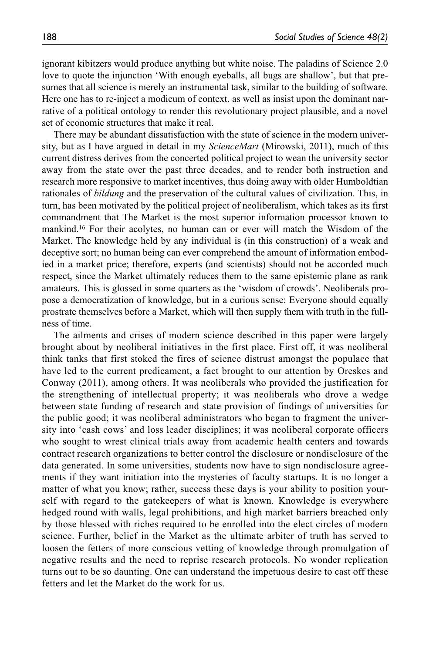ignorant kibitzers would produce anything but white noise. The paladins of Science 2.0 love to quote the injunction 'With enough eyeballs, all bugs are shallow', but that presumes that all science is merely an instrumental task, similar to the building of software. Here one has to re-inject a modicum of context, as well as insist upon the dominant narrative of a political ontology to render this revolutionary project plausible, and a novel set of economic structures that make it real.

There may be abundant dissatisfaction with the state of science in the modern university, but as I have argued in detail in my *ScienceMart* (Mirowski, 2011), much of this current distress derives from the concerted political project to wean the university sector away from the state over the past three decades, and to render both instruction and research more responsive to market incentives, thus doing away with older Humboldtian rationales of *bildung* and the preservation of the cultural values of civilization. This, in turn, has been motivated by the political project of neoliberalism, which takes as its first commandment that The Market is the most superior information processor known to mankind.16 For their acolytes, no human can or ever will match the Wisdom of the Market. The knowledge held by any individual is (in this construction) of a weak and deceptive sort; no human being can ever comprehend the amount of information embodied in a market price; therefore, experts (and scientists) should not be accorded much respect, since the Market ultimately reduces them to the same epistemic plane as rank amateurs. This is glossed in some quarters as the 'wisdom of crowds'. Neoliberals propose a democratization of knowledge, but in a curious sense: Everyone should equally prostrate themselves before a Market, which will then supply them with truth in the fullness of time.

The ailments and crises of modern science described in this paper were largely brought about by neoliberal initiatives in the first place. First off, it was neoliberal think tanks that first stoked the fires of science distrust amongst the populace that have led to the current predicament, a fact brought to our attention by Oreskes and Conway (2011), among others. It was neoliberals who provided the justification for the strengthening of intellectual property; it was neoliberals who drove a wedge between state funding of research and state provision of findings of universities for the public good; it was neoliberal administrators who began to fragment the university into 'cash cows' and loss leader disciplines; it was neoliberal corporate officers who sought to wrest clinical trials away from academic health centers and towards contract research organizations to better control the disclosure or nondisclosure of the data generated. In some universities, students now have to sign nondisclosure agreements if they want initiation into the mysteries of faculty startups. It is no longer a matter of what you know; rather, success these days is your ability to position yourself with regard to the gatekeepers of what is known. Knowledge is everywhere hedged round with walls, legal prohibitions, and high market barriers breached only by those blessed with riches required to be enrolled into the elect circles of modern science. Further, belief in the Market as the ultimate arbiter of truth has served to loosen the fetters of more conscious vetting of knowledge through promulgation of negative results and the need to reprise research protocols. No wonder replication turns out to be so daunting. One can understand the impetuous desire to cast off these fetters and let the Market do the work for us.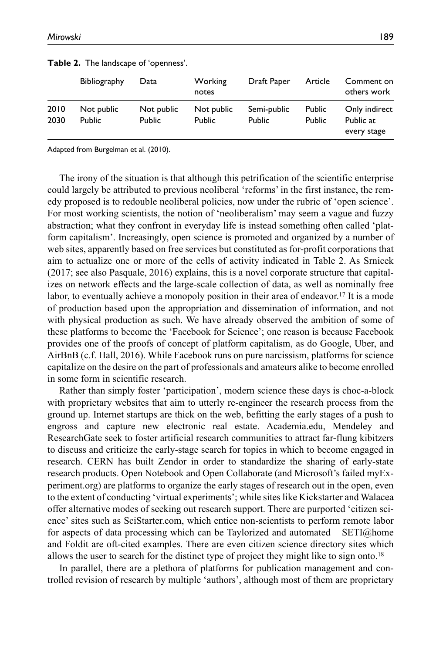|      | <b>Bibliography</b> | Data       | Working<br>notes | Draft Paper | Article | Comment on<br>others work |
|------|---------------------|------------|------------------|-------------|---------|---------------------------|
| 2010 | Not public          | Not public | Not public       | Semi-public | Public  | Only indirect             |
| 2030 | <b>Public</b>       | Public     | <b>Public</b>    | Public      | Public  | Public at<br>every stage  |

**Table 2.** The landscape of 'openness'.

Adapted from Burgelman et al. (2010).

The irony of the situation is that although this petrification of the scientific enterprise could largely be attributed to previous neoliberal 'reforms' in the first instance, the remedy proposed is to redouble neoliberal policies, now under the rubric of 'open science'. For most working scientists, the notion of 'neoliberalism' may seem a vague and fuzzy abstraction; what they confront in everyday life is instead something often called 'platform capitalism'. Increasingly, open science is promoted and organized by a number of web sites, apparently based on free services but constituted as for-profit corporations that aim to actualize one or more of the cells of activity indicated in Table 2. As Srnicek (2017; see also Pasquale, 2016) explains, this is a novel corporate structure that capitalizes on network effects and the large-scale collection of data, as well as nominally free labor, to eventually achieve a monopoly position in their area of endeavor.<sup>17</sup> It is a mode of production based upon the appropriation and dissemination of information, and not with physical production as such. We have already observed the ambition of some of these platforms to become the 'Facebook for Science'; one reason is because Facebook provides one of the proofs of concept of platform capitalism, as do Google, Uber, and AirBnB (c.f. Hall, 2016). While Facebook runs on pure narcissism, platforms for science capitalize on the desire on the part of professionals and amateurs alike to become enrolled in some form in scientific research.

Rather than simply foster 'participation', modern science these days is choc-a-block with proprietary websites that aim to utterly re-engineer the research process from the ground up. Internet startups are thick on the web, befitting the early stages of a push to engross and capture new electronic real estate. Academia.edu, Mendeley and ResearchGate seek to foster artificial research communities to attract far-flung kibitzers to discuss and criticize the early-stage search for topics in which to become engaged in research. CERN has built Zendor in order to standardize the sharing of early-state research products. Open Notebook and Open Collaborate (and Microsoft's failed myExperiment.org) are platforms to organize the early stages of research out in the open, even to the extent of conducting 'virtual experiments'; while sites like Kickstarter and Walacea offer alternative modes of seeking out research support. There are purported 'citizen science' sites such as SciStarter.com, which entice non-scientists to perform remote labor for aspects of data processing which can be Taylorized and automated –  $\text{SETI}(\hat{\omega})$ home and Foldit are oft-cited examples. There are even citizen science directory sites which allows the user to search for the distinct type of project they might like to sign onto.18

In parallel, there are a plethora of platforms for publication management and controlled revision of research by multiple 'authors', although most of them are proprietary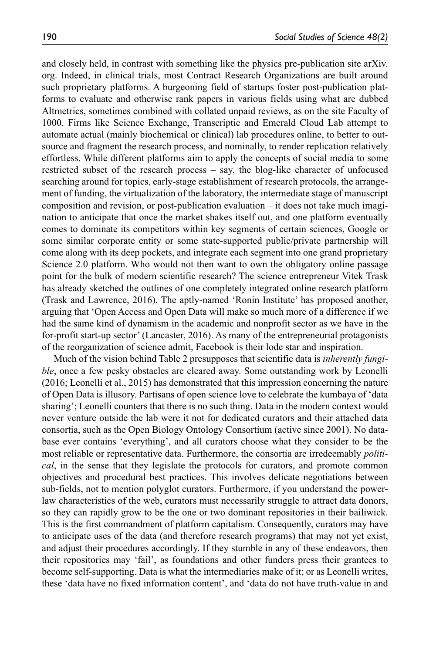and closely held, in contrast with something like the physics pre-publication site arXiv. org. Indeed, in clinical trials, most Contract Research Organizations are built around such proprietary platforms. A burgeoning field of startups foster post-publication platforms to evaluate and otherwise rank papers in various fields using what are dubbed Altmetrics, sometimes combined with collated unpaid reviews, as on the site Faculty of 1000. Firms like Science Exchange, Transcriptic and Emerald Cloud Lab attempt to automate actual (mainly biochemical or clinical) lab procedures online, to better to outsource and fragment the research process, and nominally, to render replication relatively effortless. While different platforms aim to apply the concepts of social media to some restricted subset of the research process – say, the blog-like character of unfocused searching around for topics, early-stage establishment of research protocols, the arrangement of funding, the virtualization of the laboratory, the intermediate stage of manuscript composition and revision, or post-publication evaluation – it does not take much imagination to anticipate that once the market shakes itself out, and one platform eventually comes to dominate its competitors within key segments of certain sciences, Google or some similar corporate entity or some state-supported public/private partnership will come along with its deep pockets, and integrate each segment into one grand proprietary Science 2.0 platform. Who would not then want to own the obligatory online passage point for the bulk of modern scientific research? The science entrepreneur Vitek Trask has already sketched the outlines of one completely integrated online research platform (Trask and Lawrence, 2016). The aptly-named 'Ronin Institute' has proposed another, arguing that 'Open Access and Open Data will make so much more of a difference if we had the same kind of dynamism in the academic and nonprofit sector as we have in the for-profit start-up sector' (Lancaster, 2016). As many of the entrepreneurial protagonists of the reorganization of science admit, Facebook is their lode star and inspiration.

Much of the vision behind Table 2 presupposes that scientific data is *inherently fungible*, once a few pesky obstacles are cleared away. Some outstanding work by Leonelli (2016; Leonelli et al., 2015) has demonstrated that this impression concerning the nature of Open Data is illusory. Partisans of open science love to celebrate the kumbaya of 'data sharing'; Leonelli counters that there is no such thing. Data in the modern context would never venture outside the lab were it not for dedicated curators and their attached data consortia, such as the Open Biology Ontology Consortium (active since 2001). No database ever contains 'everything', and all curators choose what they consider to be the most reliable or representative data. Furthermore, the consortia are irredeemably *political*, in the sense that they legislate the protocols for curators, and promote common objectives and procedural best practices. This involves delicate negotiations between sub-fields, not to mention polyglot curators. Furthermore, if you understand the powerlaw characteristics of the web, curators must necessarily struggle to attract data donors, so they can rapidly grow to be the one or two dominant repositories in their bailiwick. This is the first commandment of platform capitalism. Consequently, curators may have to anticipate uses of the data (and therefore research programs) that may not yet exist, and adjust their procedures accordingly. If they stumble in any of these endeavors, then their repositories may 'fail', as foundations and other funders press their grantees to become self-supporting. Data is what the intermediaries make of it; or as Leonelli writes, these 'data have no fixed information content', and 'data do not have truth-value in and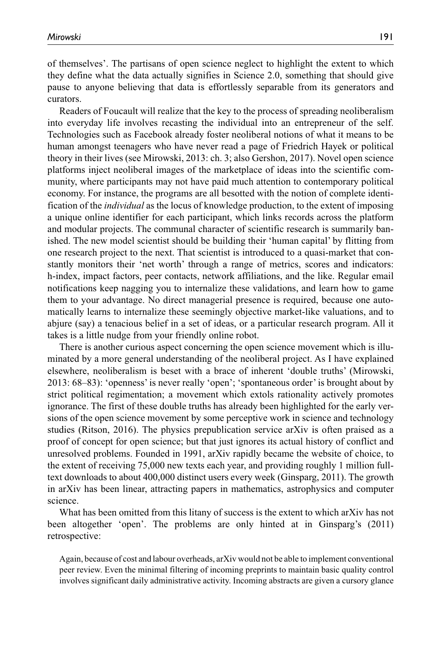of themselves'. The partisans of open science neglect to highlight the extent to which they define what the data actually signifies in Science 2.0, something that should give pause to anyone believing that data is effortlessly separable from its generators and curators.

Readers of Foucault will realize that the key to the process of spreading neoliberalism into everyday life involves recasting the individual into an entrepreneur of the self. Technologies such as Facebook already foster neoliberal notions of what it means to be human amongst teenagers who have never read a page of Friedrich Hayek or political theory in their lives (see Mirowski, 2013: ch. 3; also Gershon, 2017). Novel open science platforms inject neoliberal images of the marketplace of ideas into the scientific community, where participants may not have paid much attention to contemporary political economy. For instance, the programs are all besotted with the notion of complete identification of the *individual* as the locus of knowledge production, to the extent of imposing a unique online identifier for each participant, which links records across the platform and modular projects. The communal character of scientific research is summarily banished. The new model scientist should be building their 'human capital' by flitting from one research project to the next. That scientist is introduced to a quasi-market that constantly monitors their 'net worth' through a range of metrics, scores and indicators: h-index, impact factors, peer contacts, network affiliations, and the like. Regular email notifications keep nagging you to internalize these validations, and learn how to game them to your advantage. No direct managerial presence is required, because one automatically learns to internalize these seemingly objective market-like valuations, and to abjure (say) a tenacious belief in a set of ideas, or a particular research program. All it takes is a little nudge from your friendly online robot.

There is another curious aspect concerning the open science movement which is illuminated by a more general understanding of the neoliberal project. As I have explained elsewhere, neoliberalism is beset with a brace of inherent 'double truths' (Mirowski, 2013: 68–83): 'openness' is never really 'open'; 'spontaneous order' is brought about by strict political regimentation; a movement which extols rationality actively promotes ignorance. The first of these double truths has already been highlighted for the early versions of the open science movement by some perceptive work in science and technology studies (Ritson, 2016). The physics prepublication service arXiv is often praised as a proof of concept for open science; but that just ignores its actual history of conflict and unresolved problems. Founded in 1991, arXiv rapidly became the website of choice, to the extent of receiving 75,000 new texts each year, and providing roughly 1 million fulltext downloads to about 400,000 distinct users every week (Ginsparg, 2011). The growth in arXiv has been linear, attracting papers in mathematics, astrophysics and computer science.

What has been omitted from this litany of success is the extent to which arXiv has not been altogether 'open'. The problems are only hinted at in Ginsparg's (2011) retrospective:

Again, because of cost and labour overheads, arXiv would not be able to implement conventional peer review. Even the minimal filtering of incoming preprints to maintain basic quality control involves significant daily administrative activity. Incoming abstracts are given a cursory glance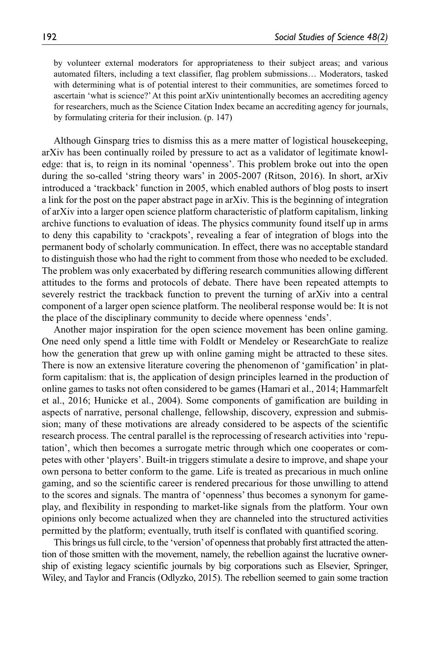by volunteer external moderators for appropriateness to their subject areas; and various automated filters, including a text classifier, flag problem submissions… Moderators, tasked with determining what is of potential interest to their communities, are sometimes forced to ascertain 'what is science?' At this point arXiv unintentionally becomes an accrediting agency for researchers, much as the Science Citation Index became an accrediting agency for journals, by formulating criteria for their inclusion. (p. 147)

Although Ginsparg tries to dismiss this as a mere matter of logistical housekeeping, arXiv has been continually roiled by pressure to act as a validator of legitimate knowledge: that is, to reign in its nominal 'openness'. This problem broke out into the open during the so-called 'string theory wars' in 2005-2007 (Ritson, 2016). In short, arXiv introduced a 'trackback' function in 2005, which enabled authors of blog posts to insert a link for the post on the paper abstract page in arXiv. This is the beginning of integration of arXiv into a larger open science platform characteristic of platform capitalism, linking archive functions to evaluation of ideas. The physics community found itself up in arms to deny this capability to 'crackpots', revealing a fear of integration of blogs into the permanent body of scholarly communication. In effect, there was no acceptable standard to distinguish those who had the right to comment from those who needed to be excluded. The problem was only exacerbated by differing research communities allowing different attitudes to the forms and protocols of debate. There have been repeated attempts to severely restrict the trackback function to prevent the turning of arXiv into a central component of a larger open science platform. The neoliberal response would be: It is not the place of the disciplinary community to decide where openness 'ends'.

Another major inspiration for the open science movement has been online gaming. One need only spend a little time with FoldIt or Mendeley or ResearchGate to realize how the generation that grew up with online gaming might be attracted to these sites. There is now an extensive literature covering the phenomenon of 'gamification' in platform capitalism: that is, the application of design principles learned in the production of online games to tasks not often considered to be games (Hamari et al., 2014; Hammarfelt et al., 2016; Hunicke et al., 2004). Some components of gamification are building in aspects of narrative, personal challenge, fellowship, discovery, expression and submission; many of these motivations are already considered to be aspects of the scientific research process. The central parallel is the reprocessing of research activities into 'reputation', which then becomes a surrogate metric through which one cooperates or competes with other 'players'. Built-in triggers stimulate a desire to improve, and shape your own persona to better conform to the game. Life is treated as precarious in much online gaming, and so the scientific career is rendered precarious for those unwilling to attend to the scores and signals. The mantra of 'openness' thus becomes a synonym for gameplay, and flexibility in responding to market-like signals from the platform. Your own opinions only become actualized when they are channeled into the structured activities permitted by the platform; eventually, truth itself is conflated with quantified scoring.

This brings us full circle, to the 'version' of openness that probably first attracted the attention of those smitten with the movement, namely, the rebellion against the lucrative ownership of existing legacy scientific journals by big corporations such as Elsevier, Springer, Wiley, and Taylor and Francis (Odlyzko, 2015). The rebellion seemed to gain some traction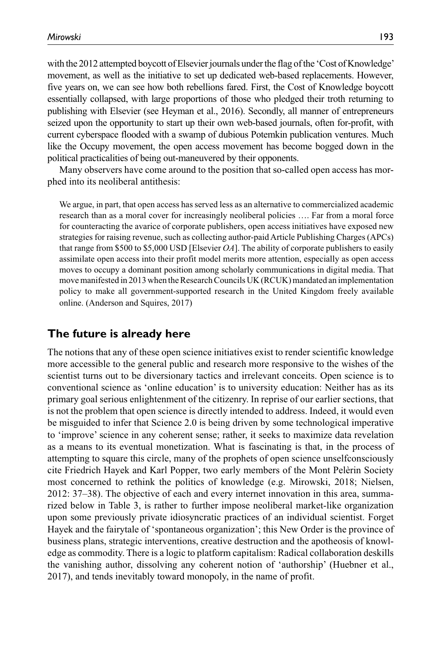with the 2012 attempted boycott of Elsevier journals under the flag of the 'Cost of Knowledge' movement, as well as the initiative to set up dedicated web-based replacements. However, five years on, we can see how both rebellions fared. First, the Cost of Knowledge boycott essentially collapsed, with large proportions of those who pledged their troth returning to publishing with Elsevier (see Heyman et al., 2016). Secondly, all manner of entrepreneurs seized upon the opportunity to start up their own web-based journals, often for-profit, with current cyberspace flooded with a swamp of dubious Potemkin publication ventures. Much like the Occupy movement, the open access movement has become bogged down in the political practicalities of being out-maneuvered by their opponents.

Many observers have come around to the position that so-called open access has morphed into its neoliberal antithesis:

We argue, in part, that open access has served less as an alternative to commercialized academic research than as a moral cover for increasingly neoliberal policies …. Far from a moral force for counteracting the avarice of corporate publishers, open access initiatives have exposed new strategies for raising revenue, such as collecting author-paid Article Publishing Charges (APCs) that range from \$500 to \$5,000 USD [Elsevier *OA*]. The ability of corporate publishers to easily assimilate open access into their profit model merits more attention, especially as open access moves to occupy a dominant position among scholarly communications in digital media. That move manifested in 2013 when the Research Councils UK (RCUK) mandated an implementation policy to make all government-supported research in the United Kingdom freely available online. (Anderson and Squires, 2017)

## **The future is already here**

The notions that any of these open science initiatives exist to render scientific knowledge more accessible to the general public and research more responsive to the wishes of the scientist turns out to be diversionary tactics and irrelevant conceits. Open science is to conventional science as 'online education' is to university education: Neither has as its primary goal serious enlightenment of the citizenry. In reprise of our earlier sections, that is not the problem that open science is directly intended to address. Indeed, it would even be misguided to infer that Science 2.0 is being driven by some technological imperative to 'improve' science in any coherent sense; rather, it seeks to maximize data revelation as a means to its eventual monetization. What is fascinating is that, in the process of attempting to square this circle, many of the prophets of open science unselfconsciously cite Friedrich Hayek and Karl Popper, two early members of the Mont Pelèrin Society most concerned to rethink the politics of knowledge (e.g. Mirowski, 2018; Nielsen, 2012: 37–38). The objective of each and every internet innovation in this area, summarized below in Table 3, is rather to further impose neoliberal market-like organization upon some previously private idiosyncratic practices of an individual scientist. Forget Hayek and the fairytale of 'spontaneous organization'; this New Order is the province of business plans, strategic interventions, creative destruction and the apotheosis of knowledge as commodity. There is a logic to platform capitalism: Radical collaboration deskills the vanishing author, dissolving any coherent notion of 'authorship' (Huebner et al., 2017), and tends inevitably toward monopoly, in the name of profit.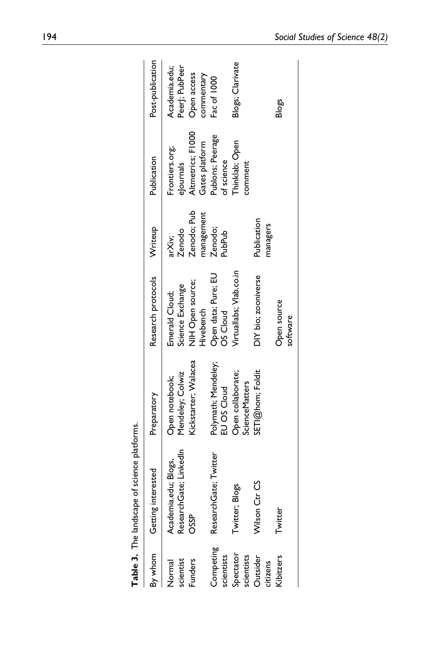|                         | of science platforms.<br>Table 3. The landscape |                       |                         |             |                   |                  |
|-------------------------|-------------------------------------------------|-----------------------|-------------------------|-------------|-------------------|------------------|
| By whom                 | Getting interested                              | Preparatory           | Research protocols      | Writeup     | Publication       | Post-publication |
| Normal                  | Academia.edu; Blogs,                            | Open notebook;        | Emerald Cloud;          | arXiv;      | Frontiers.org;    | Academia.edu;    |
| scientist               | ResearchGate; LinkedIn                          | Mendeley; Colwiz      | Science Exchange        | Zenodo      | ejournals         | Peerj; PubPeer   |
| <b>Funders</b>          | OSSP                                            | Kickstarter; Walacea  | NIH Open source;        | Zenodo; Pub | Altmetrics; F1000 | Open access      |
|                         |                                                 |                       | Hivebench               | management  | Gates platform    | commentary       |
| Competing               | ResearchGate; Twitter                           | Polymath; Mendeley;   | Open data; Pure; EU     | Zenodo;     | Publons; Peerage  | Fac of 1000      |
| scientists              |                                                 | EU OS Cloud           | OS Cloud                | PubPub      | of science        |                  |
| Spectator<br>scientists | <b>Twitter</b> ; Blogs                          | Open collaborate;     | Virtuallabs; Vlab.co.in |             | Thinklab; Open    | Blogs; Clarivate |
|                         |                                                 | <b>ScienceMatters</b> |                         |             | comment           |                  |
| Outsider                | Wilson Ctr CS                                   | SETI@hom; Foldit      | DIY bio; zooniverse     | Publication |                   |                  |
| citizens                |                                                 |                       |                         | managers    |                   |                  |
| Kibitzers               | Twitter                                         |                       | Open source             |             |                   | Blogs            |
|                         |                                                 |                       | software                |             |                   |                  |
|                         |                                                 |                       |                         |             |                   |                  |

| <b>.</b><br>יימול<br>i<br>ï                |  |
|--------------------------------------------|--|
| ׇ֞֓֝׆<br>֧ <del>֓</del> ֪֪֪֪֪֪֪֪֧֪֧֚֓֩֩֓֓׆ |  |
| j                                          |  |
|                                            |  |
|                                            |  |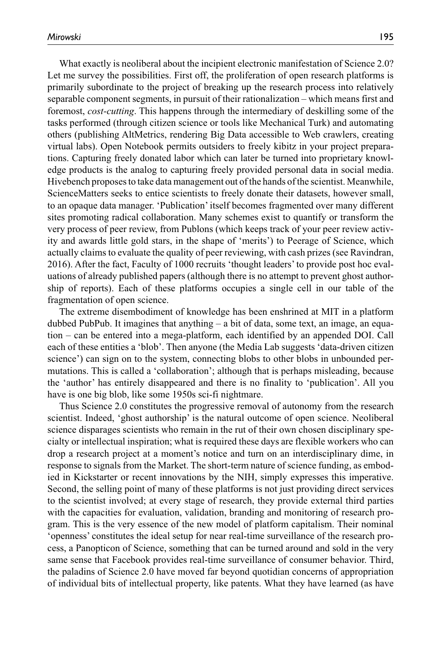What exactly is neoliberal about the incipient electronic manifestation of Science 2.0? Let me survey the possibilities. First off, the proliferation of open research platforms is primarily subordinate to the project of breaking up the research process into relatively separable component segments, in pursuit of their rationalization – which means first and foremost, *cost-cutting*. This happens through the intermediary of deskilling some of the tasks performed (through citizen science or tools like Mechanical Turk) and automating others (publishing AltMetrics, rendering Big Data accessible to Web crawlers, creating virtual labs). Open Notebook permits outsiders to freely kibitz in your project preparations. Capturing freely donated labor which can later be turned into proprietary knowledge products is the analog to capturing freely provided personal data in social media. Hivebench proposes to take data management out of the hands of the scientist. Meanwhile, ScienceMatters seeks to entice scientists to freely donate their datasets, however small, to an opaque data manager. 'Publication' itself becomes fragmented over many different sites promoting radical collaboration. Many schemes exist to quantify or transform the very process of peer review, from Publons (which keeps track of your peer review activity and awards little gold stars, in the shape of 'merits') to Peerage of Science, which actually claims to evaluate the quality of peer reviewing, with cash prizes (see Ravindran, 2016). After the fact, Faculty of 1000 recruits 'thought leaders' to provide post hoc evaluations of already published papers (although there is no attempt to prevent ghost authorship of reports). Each of these platforms occupies a single cell in our table of the fragmentation of open science.

The extreme disembodiment of knowledge has been enshrined at MIT in a platform dubbed PubPub. It imagines that anything  $-$  a bit of data, some text, an image, an equation – can be entered into a mega-platform, each identified by an appended DOI. Call each of these entities a 'blob'. Then anyone (the Media Lab suggests 'data-driven citizen science') can sign on to the system, connecting blobs to other blobs in unbounded permutations. This is called a 'collaboration'; although that is perhaps misleading, because the 'author' has entirely disappeared and there is no finality to 'publication'. All you have is one big blob, like some 1950s sci-fi nightmare.

Thus Science 2.0 constitutes the progressive removal of autonomy from the research scientist. Indeed, 'ghost authorship' is the natural outcome of open science. Neoliberal science disparages scientists who remain in the rut of their own chosen disciplinary specialty or intellectual inspiration; what is required these days are flexible workers who can drop a research project at a moment's notice and turn on an interdisciplinary dime, in response to signals from the Market. The short-term nature of science funding, as embodied in Kickstarter or recent innovations by the NIH, simply expresses this imperative. Second, the selling point of many of these platforms is not just providing direct services to the scientist involved; at every stage of research, they provide external third parties with the capacities for evaluation, validation, branding and monitoring of research program. This is the very essence of the new model of platform capitalism. Their nominal 'openness' constitutes the ideal setup for near real-time surveillance of the research process, a Panopticon of Science, something that can be turned around and sold in the very same sense that Facebook provides real-time surveillance of consumer behavior. Third, the paladins of Science 2.0 have moved far beyond quotidian concerns of appropriation of individual bits of intellectual property, like patents. What they have learned (as have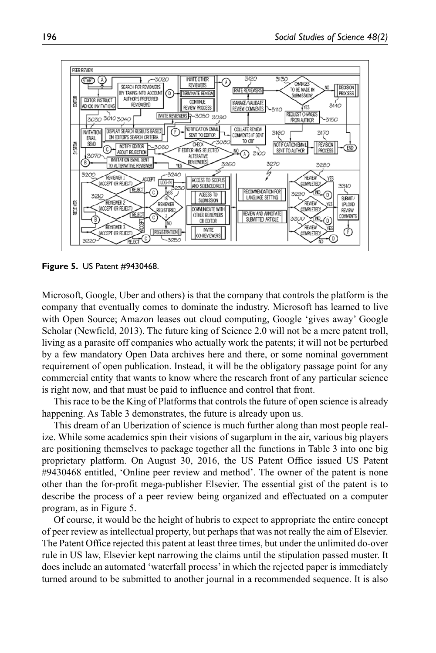

**Figure 5.** US Patent #9430468.

Microsoft, Google, Uber and others) is that the company that controls the platform is the company that eventually comes to dominate the industry. Microsoft has learned to live with Open Source; Amazon leases out cloud computing, Google 'gives away' Google Scholar (Newfield, 2013). The future king of Science 2.0 will not be a mere patent troll, living as a parasite off companies who actually work the patents; it will not be perturbed by a few mandatory Open Data archives here and there, or some nominal government requirement of open publication. Instead, it will be the obligatory passage point for any commercial entity that wants to know where the research front of any particular science is right now, and that must be paid to influence and control that front.

This race to be the King of Platforms that controls the future of open science is already happening. As Table 3 demonstrates, the future is already upon us.

This dream of an Uberization of science is much further along than most people realize. While some academics spin their visions of sugarplum in the air, various big players are positioning themselves to package together all the functions in Table 3 into one big proprietary platform. On August 30, 2016, the US Patent Office issued US Patent #9430468 entitled, 'Online peer review and method'. The owner of the patent is none other than the for-profit mega-publisher Elsevier. The essential gist of the patent is to describe the process of a peer review being organized and effectuated on a computer program, as in Figure 5.

Of course, it would be the height of hubris to expect to appropriate the entire concept of peer review as intellectual property, but perhaps that was not really the aim of Elsevier. The Patent Office rejected this patent at least three times, but under the unlimited do-over rule in US law, Elsevier kept narrowing the claims until the stipulation passed muster. It does include an automated 'waterfall process' in which the rejected paper is immediately turned around to be submitted to another journal in a recommended sequence. It is also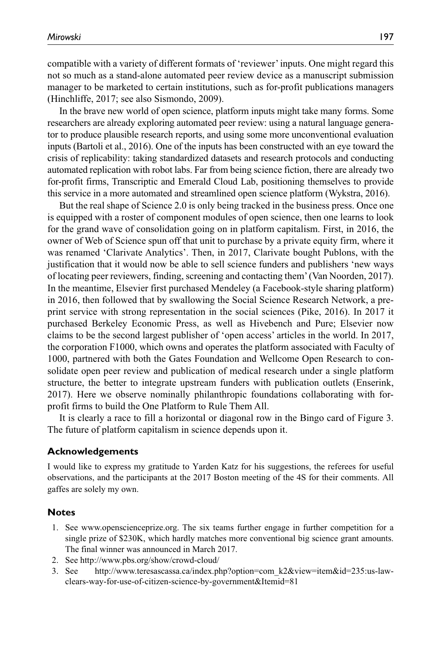compatible with a variety of different formats of 'reviewer' inputs. One might regard this not so much as a stand-alone automated peer review device as a manuscript submission manager to be marketed to certain institutions, such as for-profit publications managers (Hinchliffe, 2017; see also Sismondo, 2009).

In the brave new world of open science, platform inputs might take many forms. Some researchers are already exploring automated peer review: using a natural language generator to produce plausible research reports, and using some more unconventional evaluation inputs (Bartoli et al., 2016). One of the inputs has been constructed with an eye toward the crisis of replicability: taking standardized datasets and research protocols and conducting automated replication with robot labs. Far from being science fiction, there are already two for-profit firms, Transcriptic and Emerald Cloud Lab, positioning themselves to provide this service in a more automated and streamlined open science platform (Wykstra, 2016).

But the real shape of Science 2.0 is only being tracked in the business press. Once one is equipped with a roster of component modules of open science, then one learns to look for the grand wave of consolidation going on in platform capitalism. First, in 2016, the owner of Web of Science spun off that unit to purchase by a private equity firm, where it was renamed 'Clarivate Analytics'. Then, in 2017, Clarivate bought Publons, with the justification that it would now be able to sell science funders and publishers 'new ways of locating peer reviewers, finding, screening and contacting them' (Van Noorden, 2017). In the meantime, Elsevier first purchased Mendeley (a Facebook-style sharing platform) in 2016, then followed that by swallowing the Social Science Research Network, a preprint service with strong representation in the social sciences (Pike, 2016). In 2017 it purchased Berkeley Economic Press, as well as Hivebench and Pure; Elsevier now claims to be the second largest publisher of 'open access' articles in the world. In 2017, the corporation F1000, which owns and operates the platform associated with Faculty of 1000, partnered with both the Gates Foundation and Wellcome Open Research to consolidate open peer review and publication of medical research under a single platform structure, the better to integrate upstream funders with publication outlets (Enserink, 2017). Here we observe nominally philanthropic foundations collaborating with forprofit firms to build the One Platform to Rule Them All.

It is clearly a race to fill a horizontal or diagonal row in the Bingo card of Figure 3. The future of platform capitalism in science depends upon it.

#### **Acknowledgements**

I would like to express my gratitude to Yarden Katz for his suggestions, the referees for useful observations, and the participants at the 2017 Boston meeting of the 4S for their comments. All gaffes are solely my own.

#### **Notes**

- 1. See [www.openscienceprize.org.](www.openscienceprize.org) The six teams further engage in further competition for a single prize of \$230K, which hardly matches more conventional big science grant amounts. The final winner was announced in March 2017.
- 2. See<http://www.pbs.org/show/crowd-cloud/>
- 3. See [http://www.teresascassa.ca/index.php?option=com\\_k2&view=item&id=235:us-law](http://www.teresascassa.ca/index.php?option=com_k2&view=item&id=235:us-law-clears-way-for-use-of-citizen-science-by-government&Itemid=81)[clears-way-for-use-of-citizen-science-by-government&Itemid=81](http://www.teresascassa.ca/index.php?option=com_k2&view=item&id=235:us-law-clears-way-for-use-of-citizen-science-by-government&Itemid=81)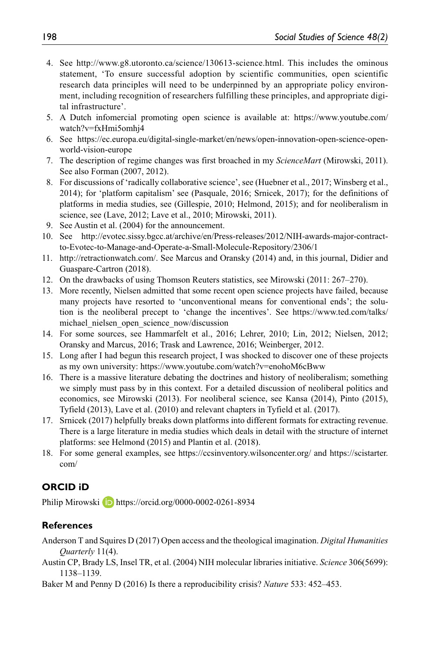- 4. See <http://www.g8.utoronto.ca/science/130613-science.html>. This includes the ominous statement, 'To ensure successful adoption by scientific communities, open scientific research data principles will need to be underpinned by an appropriate policy environment, including recognition of researchers fulfilling these principles, and appropriate digital infrastructure'.
- 5. A Dutch infomercial promoting open science is available at: [https://www.youtube.com/](https://www.youtube.com/watch?v=fxHmi5omhj4) [watch?v=fxHmi5omhj4](https://www.youtube.com/watch?v=fxHmi5omhj4)
- 6. See [https://ec.europa.eu/digital-single-market/en/news/open-innovation-open-science-open](https://ec.europa.eu/digital-single-market/en/news/open-innovation-open-science-open-world-vision-europe)[world-vision-europe](https://ec.europa.eu/digital-single-market/en/news/open-innovation-open-science-open-world-vision-europe)
- 7. The description of regime changes was first broached in my *ScienceMart* (Mirowski, 2011). See also Forman (2007, 2012).
- 8. For discussions of 'radically collaborative science', see (Huebner et al., 2017; Winsberg et al., 2014); for 'platform capitalism' see (Pasquale, 2016; Srnicek, 2017); for the definitions of platforms in media studies, see (Gillespie, 2010; Helmond, 2015); and for neoliberalism in science, see (Lave, 2012; Lave et al., 2010; Mirowski, 2011).
- 9. See Austin et al. (2004) for the announcement.
- 10. See [http://evotec.sissy.bgcc.at/archive/en/Press-releases/2012/NIH-awards-major-contract](http://evotec.sissy.bgcc.at/archive/en/Press-releases/2012/NIH-awards-major-contract-to-Evotec-to-Manage-and-Operate-a-Small-Molecule-Repository/2306/1)[to-Evotec-to-Manage-and-Operate-a-Small-Molecule-Repository/2306/1](http://evotec.sissy.bgcc.at/archive/en/Press-releases/2012/NIH-awards-major-contract-to-Evotec-to-Manage-and-Operate-a-Small-Molecule-Repository/2306/1)
- 11. <http://retractionwatch.com/>. See Marcus and Oransky (2014) and, in this journal, Didier and Guaspare-Cartron (2018).
- 12. On the drawbacks of using Thomson Reuters statistics, see Mirowski (2011: 267–270).
- 13. More recently, Nielsen admitted that some recent open science projects have failed, because many projects have resorted to 'unconventional means for conventional ends'; the solution is the neoliberal precept to 'change the incentives'. See [https://www.ted.com/talks/](https://www.ted.com/talks/michael_nielsen_open_science_now/discussion) [michael\\_nielsen\\_open\\_science\\_now/discussion](https://www.ted.com/talks/michael_nielsen_open_science_now/discussion)
- 14. For some sources, see Hammarfelt et al., 2016; Lehrer, 2010; Lin, 2012; Nielsen, 2012; Oransky and Marcus, 2016; Trask and Lawrence, 2016; Weinberger, 2012.
- 15. Long after I had begun this research project, I was shocked to discover one of these projects as my own university: <https://www.youtube.com/watch?v=enohoM6cBww>
- 16. There is a massive literature debating the doctrines and history of neoliberalism; something we simply must pass by in this context. For a detailed discussion of neoliberal politics and economics, see Mirowski (2013). For neoliberal science, see Kansa (2014), Pinto (2015), Tyfield (2013), Lave et al. (2010) and relevant chapters in Tyfield et al. (2017).
- 17. Srnicek (2017) helpfully breaks down platforms into different formats for extracting revenue. There is a large literature in media studies which deals in detail with the structure of internet platforms: see Helmond (2015) and Plantin et al. (2018).
- 18. For some general examples, see <https://ccsinventory.wilsoncenter.org/>and [https://scistarter.](https://scistarter.com/) [com/](https://scistarter.com/)

## **ORCID iD**

Philip Mirowski **iD** <https://orcid.org/0000-0002-0261-8934>

## **References**

Anderson T and Squires D (2017) Open access and the theological imagination. *Digital Humanities Quarterly* 11(4).

Austin CP, Brady LS, Insel TR, et al. (2004) NIH molecular libraries initiative. *Science* 306(5699): 1138–1139.

Baker M and Penny D (2016) Is there a reproducibility crisis? *Nature* 533: 452–453.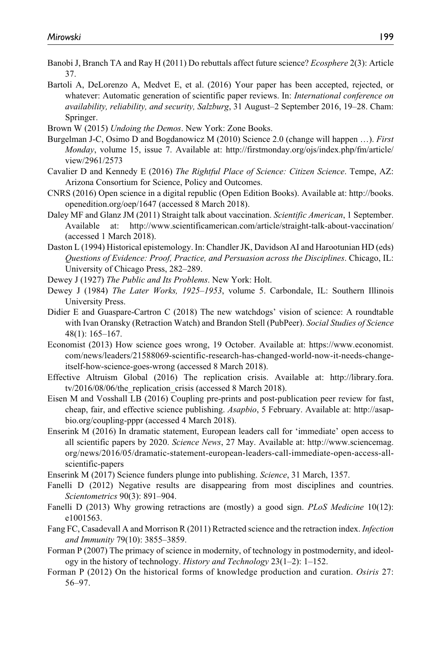- Banobi J, Branch TA and Ray H (2011) Do rebuttals affect future science? *Ecosphere* 2(3): Article 37.
- Bartoli A, DeLorenzo A, Medvet E, et al. (2016) Your paper has been accepted, rejected, or whatever: Automatic generation of scientific paper reviews. In: *International conference on availability, reliability, and security, Salzburg*, 31 August–2 September 2016, 19–28. Cham: Springer.
- Brown W (2015) *Undoing the Demos*. New York: Zone Books.
- Burgelman J-C, Osimo D and Bogdanowicz M (2010) Science 2.0 (change will happen …). *First Monday*, volume 15, issue 7. Available at: [http://firstmonday.org/ojs/index.php/fm/article/](http://firstmonday.org/ojs/index.php/fm/article/view/2961/2573) [view/2961/2573](http://firstmonday.org/ojs/index.php/fm/article/view/2961/2573)
- Cavalier D and Kennedy E (2016) *The Rightful Place of Science: Citizen Science*. Tempe, AZ: Arizona Consortium for Science, Policy and Outcomes.
- CNRS (2016) Open science in a digital republic (Open Edition Books). Available at: [http://books.](http://books.openedition.org/oep/1647) [openedition.org/oep/1647](http://books.openedition.org/oep/1647) (accessed 8 March 2018).
- Daley MF and Glanz JM (2011) Straight talk about vaccination. *Scientific American*, 1 September. Available at: <http://www.scientificamerican.com/article/straight-talk-about-vaccination/> (accessed 1 March 2018).
- Daston L (1994) Historical epistemology. In: Chandler JK, Davidson AI and Harootunian HD (eds) *Questions of Evidence: Proof, Practice, and Persuasion across the Disciplines*. Chicago, IL: University of Chicago Press, 282–289.
- Dewey J (1927) *The Public and Its Problems*. New York: Holt.
- Dewey J (1984) *The Later Works, 1925–1953*, volume 5. Carbondale, IL: Southern Illinois University Press.
- Didier E and Guaspare-Cartron C (2018) The new watchdogs' vision of science: A roundtable with Ivan Oransky (Retraction Watch) and Brandon Stell (PubPeer). *Social Studies of Science* 48(1): 165–167.
- Economist (2013) How science goes wrong, 19 October. Available at: [https://www.economist.](https://www.economist.com/news/leaders/21588069-scientific-research-has-changed-world-now-it-needs-change-itself-how-science-goes-wrong) [com/news/leaders/21588069-scientific-research-has-changed-world-now-it-needs-change](https://www.economist.com/news/leaders/21588069-scientific-research-has-changed-world-now-it-needs-change-itself-how-science-goes-wrong)[itself-how-science-goes-wrong](https://www.economist.com/news/leaders/21588069-scientific-research-has-changed-world-now-it-needs-change-itself-how-science-goes-wrong) (accessed 8 March 2018).
- Effective Altruism Global (2016) The replication crisis. Available at: [http://library.fora.](http://library.fora.tv/2016/08/06/the_replication_crisis) tv/2016/08/06/the replication crisis (accessed 8 March 2018).
- Eisen M and Vosshall LB (2016) Coupling pre-prints and post-publication peer review for fast, cheap, fair, and effective science publishing. *Asapbio*, 5 February. Available at: [http://asap](http://asapbio.org/coupling-pppr)[bio.org/coupling-pppr](http://asapbio.org/coupling-pppr) (accessed 4 March 2018).
- Enserink M (2016) In dramatic statement, European leaders call for 'immediate' open access to all scientific papers by 2020. *Science News*, 27 May. Available at: [http://www.sciencemag.](http://www.sciencemag.org/news/2016/05/dramatic-statement-european-leaders-call-immediate-open-access-all-scientific-papers) [org/news/2016/05/dramatic-statement-european-leaders-call-immediate-open-access-all](http://www.sciencemag.org/news/2016/05/dramatic-statement-european-leaders-call-immediate-open-access-all-scientific-papers)[scientific-papers](http://www.sciencemag.org/news/2016/05/dramatic-statement-european-leaders-call-immediate-open-access-all-scientific-papers)
- Enserink M (2017) Science funders plunge into publishing. *Science*, 31 March, 1357.
- Fanelli D (2012) Negative results are disappearing from most disciplines and countries. *Scientometrics* 90(3): 891–904.
- Fanelli D (2013) Why growing retractions are (mostly) a good sign. *PLoS Medicine* 10(12): e1001563.
- Fang FC, Casadevall A and Morrison R (2011) Retracted science and the retraction index. *Infection and Immunity* 79(10): 3855–3859.
- Forman P (2007) The primacy of science in modernity, of technology in postmodernity, and ideology in the history of technology. *History and Technology* 23(1–2): 1–152.
- Forman P (2012) On the historical forms of knowledge production and curation. *Osiris* 27: 56–97.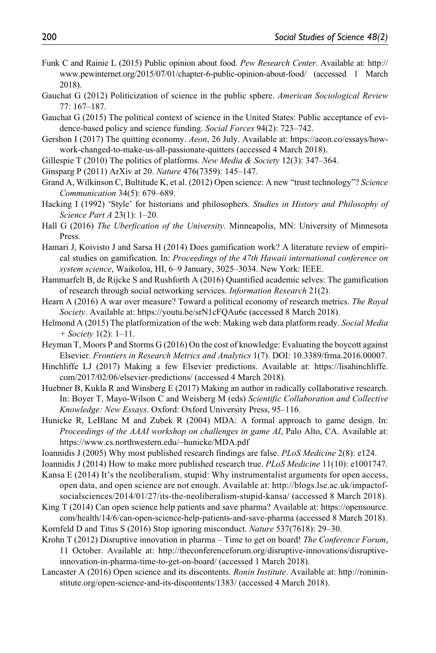- Funk C and Rainie L (2015) Public opinion about food. *Pew Research Center*. Available at: [http://](http://www.pewinternet.org/2015/07/01/chapter-6-public-opinion-about-food/) [www.pewinternet.org/2015/07/01/chapter-6-public-opinion-about-food/](http://www.pewinternet.org/2015/07/01/chapter-6-public-opinion-about-food/) (accessed 1 March 2018).
- Gauchat G (2012) Politicization of science in the public sphere. *American Sociological Review* 77: 167–187.
- Gauchat G (2015) The political context of science in the United States: Public acceptance of evidence-based policy and science funding. *Social Forces* 94(2): 723–742.
- Gershon I (2017) The quitting economy. *Aeon*, 26 July. Available at: [https://aeon.co/essays/how](https://aeon.co/essays/how-work-changed-to-make-us-all-passionate-quitters)[work-changed-to-make-us-all-passionate-quitters](https://aeon.co/essays/how-work-changed-to-make-us-all-passionate-quitters) (accessed 4 March 2018).
- Gillespie T (2010) The politics of platforms. *New Media & Society* 12(3): 347–364.
- Ginsparg P (2011) ArXiv at 20. *Nature* 476(7359): 145–147.
- Grand A, Wilkinson C, Bultitude K, et al. (2012) Open science: A new "trust technology"? *Science Communication* 34(5): 679–689.
- Hacking I (1992) 'Style' for historians and philosophers. *Studies in History and Philosophy of Science Part A* 23(1): 1–20.
- Hall G (2016) *The Uberfication of the University*. Minneapolis, MN: University of Minnesota Press.
- Hamari J, Koivisto J and Sarsa H (2014) Does gamification work? A literature review of empirical studies on gamification. In: *Proceedings of the 47th Hawaii international conference on system science*, Waikoloa, HI, 6–9 January, 3025–3034. New York: IEEE.
- Hammarfelt B, de Rijcke S and Rushforth A (2016) Quantified academic selves: The gamification of research through social networking services. *Information Research* 21(2).
- Hearn A (2016) A war over measure? Toward a political economy of research metrics. *The Royal Society*. Available at: <https://youtu.be/srN1cFQAu6c>(accessed 8 March 2018).
- Helmond A (2015) The platformization of the web: Making web data platform ready. *Social Media + Society* 1(2): 1–11.
- Heyman T, Moors P and Storms G (2016) On the cost of knowledge: Evaluating the boycott against Elsevier. *Frontiers in Research Metrics and Analytics* 1(7). DOI: 10.3389/frma.2016.00007.
- Hinchliffe LJ (2017) Making a few Elsevier predictions. Available at: [https://lisahinchliffe.](https://lisahinchliffe.com/2017/02/06/elsevier-predictions/) [com/2017/02/06/elsevier-predictions/](https://lisahinchliffe.com/2017/02/06/elsevier-predictions/) (accessed 4 March 2018).
- Huebner B, Kukla R and Winsberg E (2017) Making an author in radically collaborative research. In: Boyer T, Mayo-Wilson C and Weisberg M (eds) *Scientific Collaboration and Collective Knowledge: New Essays*. Oxford: Oxford University Press, 95–116.
- Hunicke R, LeBlanc M and Zubek R (2004) MDA: A formal approach to game design. In: *Proceedings of the AAAI workshop on challenges in game AI*, Palo Alto, CA. Available at: <https://www.cs.northwestern.edu/~hunicke/MDA.pdf>
- Ioannidis J (2005) Why most published research findings are false. *PLoS Medicine* 2(8): e124.
- Ioannidis J (2014) How to make more published research true. *PLoS Medicine* 11(10): e1001747.
- Kansa E (2014) It's the neoliberalism, stupid: Why instrumentalist arguments for open access, open data, and open science are not enough. Available at: [http://blogs.lse.ac.uk/impactof](http://blogs.lse.ac.uk/impactofsocialsciences/2014/01/27/its-the-neoliberalism-stupid-kansa/)[socialsciences/2014/01/27/its-the-neoliberalism-stupid-kansa/](http://blogs.lse.ac.uk/impactofsocialsciences/2014/01/27/its-the-neoliberalism-stupid-kansa/) (accessed 8 March 2018).
- King T (2014) Can open science help patients and save pharma? Available at: [https://opensource.](https://opensource.com/health/14/6/can-open-science-help-patients-and-save-pharma) [com/health/14/6/can-open-science-help-patients-and-save-pharma](https://opensource.com/health/14/6/can-open-science-help-patients-and-save-pharma) (accessed 8 March 2018).
- Kornfeld D and Titus S (2016) Stop ignoring misconduct. *Nature* 537(7618): 29–30.
- Krohn T (2012) Disruptive innovation in pharma Time to get on board! *The Conference Forum*,

11 October. Available at: [http://theconferenceforum.org/disruptive-innovations/disruptive](http://theconferenceforum.org/disruptive-innovations/disruptive-innovation-in-pharma-time-to-get-on-board/)[innovation-in-pharma-time-to-get-on-board/](http://theconferenceforum.org/disruptive-innovations/disruptive-innovation-in-pharma-time-to-get-on-board/) (accessed 1 March 2018).

Lancaster A (2016) Open science and its discontents. *Ronin Institute*. Available at: [http://roninin](http://ronininstitute.org/open-science-and-its-discontents/1383/)[stitute.org/open-science-and-its-discontents/1383/](http://ronininstitute.org/open-science-and-its-discontents/1383/) (accessed 4 March 2018).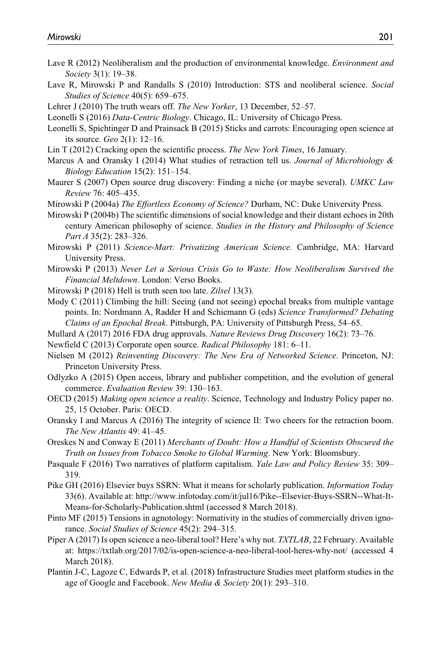- Lave R (2012) Neoliberalism and the production of environmental knowledge. *Environment and Society* 3(1): 19–38.
- Lave R, Mirowski P and Randalls S (2010) Introduction: STS and neoliberal science. *Social Studies of Science* 40(5): 659–675.
- Lehrer J (2010) The truth wears off. *The New Yorker*, 13 December, 52–57.
- Leonelli S (2016) *Data-Centric Biology*. Chicago, IL: University of Chicago Press.
- Leonelli S, Spichtinger D and Prainsack B (2015) Sticks and carrots: Encouraging open science at its source. *Geo* 2(1): 12–16.
- Lin T (2012) Cracking open the scientific process. *The New York Times*, 16 January.
- Marcus A and Oransky I (2014) What studies of retraction tell us. *Journal of Microbiology & Biology Education* 15(2): 151–154.
- Maurer S (2007) Open source drug discovery: Finding a niche (or maybe several). *UMKC Law Review* 76: 405–435.
- Mirowski P (2004a) *The Effortless Economy of Science?* Durham, NC: Duke University Press.
- Mirowski P (2004b) The scientific dimensions of social knowledge and their distant echoes in 20th century American philosophy of science. *Studies in the History and Philosophy of Science Part A* 35(2): 283–326.
- Mirowski P (2011) *Science-Mart: Privatizing American Science*. Cambridge, MA: Harvard University Press.
- Mirowski P (2013) *Never Let a Serious Crisis Go to Waste: How Neoliberalism Survived the Financial Meltdown*. London: Verso Books.
- Mirowski P (2018) Hell is truth seen too late. *Zilsel* 13(3).
- Mody C (2011) Climbing the hill: Seeing (and not seeing) epochal breaks from multiple vantage points. In: Nordmann A, Radder H and Schiemann G (eds) *Science Transformed? Debating Claims of an Epochal Break*. Pittsburgh, PA: University of Pittsburgh Press, 54–65.
- Mullard A (2017) 2016 FDA drug approvals. *Nature Reviews Drug Discovery* 16(2): 73–76.
- Newfield C (2013) Corporate open source. *Radical Philosophy* 181: 6–11.
- Nielsen M (2012) *Reinventing Discovery: The New Era of Networked Science*. Princeton, NJ: Princeton University Press.
- Odlyzko A (2015) Open access, library and publisher competition, and the evolution of general commerce. *Evaluation Review* 39: 130–163.
- OECD (2015) *Making open science a reality*. Science, Technology and Industry Policy paper no. 25, 15 October. Paris: OECD.
- Oransky I and Marcus A (2016) The integrity of science II: Two cheers for the retraction boom. *The New Atlantis* 49: 41–45.
- Oreskes N and Conway E (2011) *Merchants of Doubt: How a Handful of Scientists Obscured the Truth on Issues from Tobacco Smoke to Global Warming*. New York: Bloomsbury.
- Pasquale F (2016) Two narratives of platform capitalism. *Yale Law and Policy Review* 35: 309– 319.
- Pike GH (2016) Elsevier buys SSRN: What it means for scholarly publication. *Information Today* 33(6). Available at: [http://www.infotoday.com/it/jul16/Pike--Elsevier-Buys-SSRN--What-It-](http://www.infotoday.com/it/jul16/Pike--Elsevier-Buys-SSRN--What-It-Means-for-Scholarly-Publication.shtml)[Means-for-Scholarly-Publication.shtml](http://www.infotoday.com/it/jul16/Pike--Elsevier-Buys-SSRN--What-It-Means-for-Scholarly-Publication.shtml) (accessed 8 March 2018).
- Pinto MF (2015) Tensions in agnotology: Normativity in the studies of commercially driven ignorance. *Social Studies of Science* 45(2): 294–315.
- Piper A (2017) Is open science a neo-liberal tool? Here's why not. *TXTLAB*, 22 February. Available at: <https://txtlab.org/2017/02/is-open-science-a-neo-liberal-tool-heres-why-not/>(accessed 4 March 2018).
- Plantin J-C, Lagoze C, Edwards P, et al. (2018) Infrastructure Studies meet platform studies in the age of Google and Facebook. *New Media & Society* 20(1): 293–310.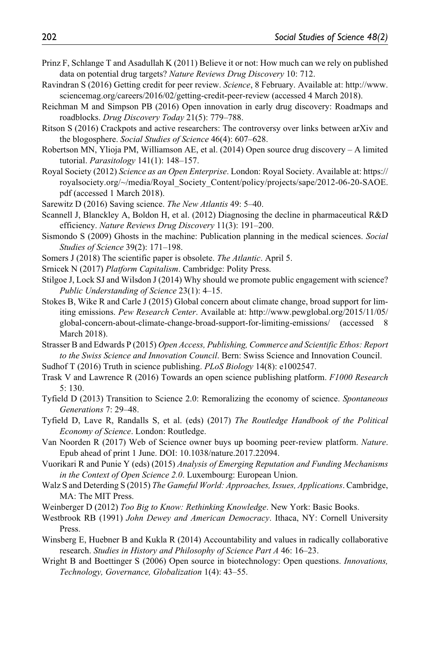- Prinz F, Schlange T and Asadullah K (2011) Believe it or not: How much can we rely on published data on potential drug targets? *Nature Reviews Drug Discovery* 10: 712.
- Ravindran S (2016) Getting credit for peer review. *Science*, 8 February. Available at: [http://www.](http://www.sciencemag.org/careers/2016/02/getting-credit-peer-review) [sciencemag.org/careers/2016/02/getting-credit-peer-review](http://www.sciencemag.org/careers/2016/02/getting-credit-peer-review) (accessed 4 March 2018).
- Reichman M and Simpson PB (2016) Open innovation in early drug discovery: Roadmaps and roadblocks. *Drug Discovery Today* 21(5): 779–788.
- Ritson S (2016) Crackpots and active researchers: The controversy over links between arXiv and the blogosphere. *Social Studies of Science* 46(4): 607–628.
- Robertson MN, Ylioja PM, Williamson AE, et al. (2014) Open source drug discovery A limited tutorial. *Parasitology* 141(1): 148–157.
- Royal Society (2012) *Science as an Open Enterprise*. London: Royal Society. Available at: [https://](https://royalsociety.org/~/media/Royal_Society_Content/policy/projects/sape/2012-06-20-SAOE.pdf) [royalsociety.org/~/media/Royal\\_Society\\_Content/policy/projects/sape/2012-06-20-SAOE.](https://royalsociety.org/~/media/Royal_Society_Content/policy/projects/sape/2012-06-20-SAOE.pdf) [pdf](https://royalsociety.org/~/media/Royal_Society_Content/policy/projects/sape/2012-06-20-SAOE.pdf) (accessed 1 March 2018).
- Sarewitz D (2016) Saving science. *The New Atlantis* 49: 5–40.
- Scannell J, Blanckley A, Boldon H, et al. (2012) Diagnosing the decline in pharmaceutical R&D efficiency. *Nature Reviews Drug Discovery* 11(3): 191–200.
- Sismondo S (2009) Ghosts in the machine: Publication planning in the medical sciences. *Social Studies of Science* 39(2): 171–198.
- Somers J (2018) The scientific paper is obsolete. *The Atlantic*. April 5.
- Srnicek N (2017) *Platform Capitalism*. Cambridge: Polity Press.
- Stilgoe J, Lock SJ and Wilsdon J (2014) Why should we promote public engagement with science? *Public Understanding of Science* 23(1): 4–15.
- Stokes B, Wike R and Carle J (2015) Global concern about climate change, broad support for limiting emissions. *Pew Research Center*. Available at: [http://www.pewglobal.org/2015/11/05/](http://www.pewglobal.org/2015/11/05/global-concern-about-climate-change-broad-support-for-limiting-emissions/) [global-concern-about-climate-change-broad-support-for-limiting-emissions/](http://www.pewglobal.org/2015/11/05/global-concern-about-climate-change-broad-support-for-limiting-emissions/) (accessed 8 March 2018).
- Strasser B and Edwards P (2015) *Open Access, Publishing, Commerce and Scientific Ethos: Report to the Swiss Science and Innovation Council*. Bern: Swiss Science and Innovation Council.
- Sudhof T (2016) Truth in science publishing. *PLoS Biology* 14(8): e1002547.
- Trask V and Lawrence R (2016) Towards an open science publishing platform. *F1000 Research* 5: 130.
- Tyfield D (2013) Transition to Science 2.0: Remoralizing the economy of science. *Spontaneous Generations* 7: 29–48.
- Tyfield D, Lave R, Randalls S, et al. (eds) (2017) *The Routledge Handbook of the Political Economy of Science*. London: Routledge.
- Van Noorden R (2017) Web of Science owner buys up booming peer-review platform. *Nature*. Epub ahead of print 1 June. DOI: 10.1038/nature.2017.22094.
- Vuorikari R and Punie Y (eds) (2015) *Analysis of Emerging Reputation and Funding Mechanisms in the Context of Open Science 2.0*. Luxembourg: European Union.
- Walz S and Deterding S (2015) *The Gameful World: Approaches, Issues, Applications*. Cambridge, MA: The MIT Press.
- Weinberger D (2012) *Too Big to Know: Rethinking Knowledge*. New York: Basic Books.
- Westbrook RB (1991) *John Dewey and American Democracy*. Ithaca, NY: Cornell University Press.
- Winsberg E, Huebner B and Kukla R (2014) Accountability and values in radically collaborative research. *Studies in History and Philosophy of Science Part A* 46: 16–23.
- Wright B and Boettinger S (2006) Open source in biotechnology: Open questions. *Innovations, Technology, Governance, Globalization* 1(4): 43–55.